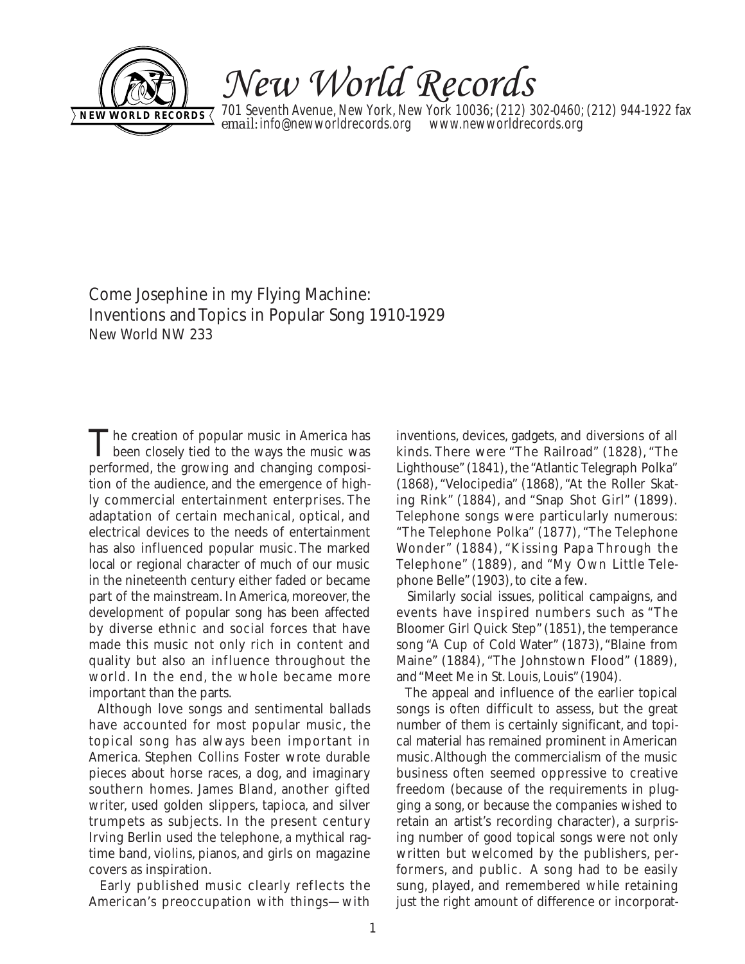

New World Records

701 Seventh Avenue, New York, New York 10036; (212) 302-0460; (212) 944-1922 fax **email:** info@newworldrecords.org www.newworldrecords.org **NEW WORLD RECORDS** *email:* **info@newworldrecords.org www.newworldrecords.org** 

Come Josephine in my Flying Machine: Inventions and Topics in Popular Song 1910-1929 New World NW 233

The creation of popular music in America has<br>been closely tied to the ways the music was performed, the growing and changing composition of the audience, and the emergence of highly commercial entertainment enterprises. The adaptation of certain mechanical, optical, and electrical devices to the needs of entertainment has also influenced popular music. The marked local or regional character of much of our music in the nineteenth century either faded or became part of the mainstream. In America, moreover, the development of popular song has been affected by diverse ethnic and social forces that have made this music not only rich in content and quality but also an influence throughout the world. In the end, the whole became more important than the parts.

Although love songs and sentimental ballads have accounted for most popular music, the topical song has always been important in America. Stephen Collins Foster wrote durable pieces about horse races, a dog, and imaginary southern homes. James Bland, another gifted writer, used golden slippers, tapioca, and silver trumpets as subjects. In the present century Irving Berlin used the telephone, a mythical ragtime band, violins, pianos, and girls on magazine covers as inspiration.

Early published music clearly reflects the American's preoccupation with things—with inventions, devices, gadgets, and diversions of all kinds. There were "The Railroad" (1828), "The Lighthouse" (1841), the "Atlantic Telegraph Polka" (1868), "Velocipedia" (1868), "At the Roller Skating Rink" (1884), and "Snap Shot Girl" (1899). Telephone songs were particularly numerous: "The Telephone Polka" (1877), "The Telephone Wonder" (1884), "Kissing Papa Through the Telephone" (1889), and "My Own Little Telephone Belle"(1903), to cite a few.

Similarly social issues, political campaigns, and events have inspired numbers such as "The Bloomer Girl Quick Step" (1851), the temperance song "A Cup of Cold Water" (1873), "Blaine from Maine" (1884), "The Johnstown Flood" (1889), and "Meet Me in St. Louis, Louis"(1904).

The appeal and influence of the earlier topical songs is often difficult to assess, but the great number of them is certainly significant, and topical material has remained prominent in American music.Although the commercialism of the music business often seemed oppressive to creative freedom (because of the requirements in plugging a song, or because the companies wished to retain an artist's recording character), a surprising number of good topical songs were not only written but welcomed by the publishers, performers, and public. A song had to be easily sung, played, and remembered while retaining just the right amount of difference or incorporat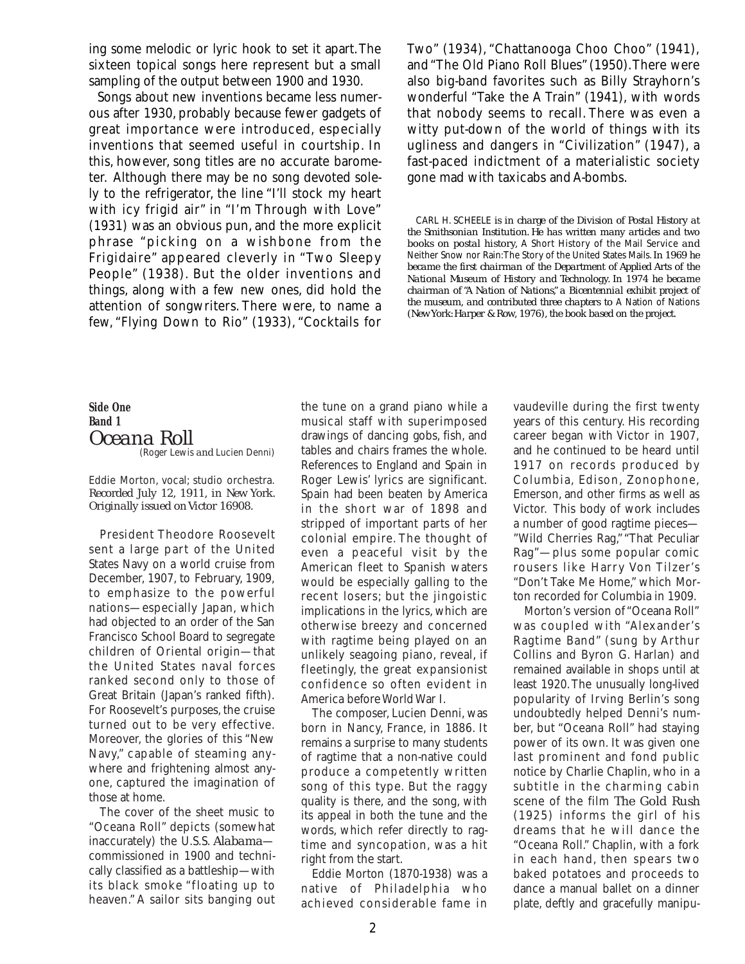ing some melodic or lyric hook to set it apart.The sixteen topical songs here represent but a small sampling of the output between 1900 and 1930.

Songs about new inventions became less numerous after 1930, probably because fewer gadgets of great importance were introduced, especially inventions that seemed useful in courtship. In this, however, song titles are no accurate barometer. Although there may be no song devoted solely to the refrigerator, the line "I'll stock my heart with icy frigid air" in "I'm Through with Love" (1931) was an obvious pun, and the more explicit phrase "picking on a wishbone from the Frigidaire" appeared cleverly in "Two Sleepy People" (1938). But the older inventions and things, along with a few new ones, did hold the attention of songwriters. There were, to name a few, "Flying Down to Rio" (1933), "Cocktails for Two" (1934), "Chattanooga Choo Choo" (1941), and "The Old Piano Roll Blues" (1950).There were also big-band favorites such as Billy Strayhorn's wonderful "Take the A Train" (1941), with words that nobody seems to recall. There was even a witty put-down of the world of things with its ugliness and dangers in "Civilization" (1947), a fast-paced indictment of a materialistic society gone mad with taxicabs and A-bombs.

CARL H. SCHEELE *is in charge of the Division of Postal History at the Smithsonian Institution. He has written many articles and two books on postal history,* A Short History of the Mail Service *and* Neither Snow nor Rain:The Story of the United States Mails.*In 1969 he became the first chairman of the Department of Applied Arts of the National Museum of History and Technology. In 1974 he became chairman of "A Nation of Nations," a Bicentennial exhibit project of the museum, and contributed three chapters to* A Nation of Nations *(New York: Harper & Row, 1976), the book based on the project.*

**Side One Band 1** *Oceana Roll* (Roger Lewis *and* Lucien Denni)

Eddie Morton, vocal; studio orchestra. *Recorded July 12, 1911, in New York. Originally issued on Victor 16908.*

President Theodore Roosevelt sent a large part of the United States Navy on a world cruise from December, 1907, to February, 1909, to emphasize to the powerful nations—especially Japan, which had objected to an order of the San Francisco School Board to segregate children of Oriental origin—that the United States naval forces ranked second only to those of Great Britain (Japan's ranked fifth). For Roosevelt's purposes, the cruise turned out to be very effective. Moreover, the glories of this "New Navy," capable of steaming anywhere and frightening almost anyone, captured the imagination of those at home.

The cover of the sheet music to "Oceana Roll" depicts (somewhat inaccurately) the U.S.S. *Alabama* commissioned in 1900 and technically classified as a battleship—with its black smoke "floating up to heaven." A sailor sits banging out

the tune on a grand piano while a musical staff with superimposed drawings of dancing gobs, fish, and tables and chairs frames the whole. References to England and Spain in Roger Lewis' lyrics are significant. Spain had been beaten by America in the short war of 1898 and stripped of important parts of her colonial empire. The thought of even a peaceful visit by the American fleet to Spanish waters would be especially galling to the recent losers; but the jingoistic implications in the lyrics, which are otherwise breezy and concerned with ragtime being played on an unlikely seagoing piano, reveal, if fleetingly, the great expansionist confidence so often evident in America before World War I.

The composer, Lucien Denni, was born in Nancy, France, in 1886. It remains a surprise to many students of ragtime that a non-native could produce a competently written song of this type. But the raggy quality is there, and the song, with its appeal in both the tune and the words, which refer directly to ragtime and syncopation, was a hit right from the start.

Eddie Morton (1870-1938) was a native of Philadelphia who achieved considerable fame in

vaudeville during the first twenty years of this century. His recording career began with Victor in 1907, and he continued to be heard until 1917 on records produced by Columbia, Edison, Zonophone, Emerson, and other firms as well as Victor. This body of work includes a number of good ragtime pieces— "Wild Cherries Rag," "That Peculiar Rag"—plus some popular comic rousers like Harry Von Tilzer's "Don't Take Me Home," which Morton recorded for Columbia in 1909.

Morton's version of "Oceana Roll" was coupled with "Alexander's Ragtime Band" (sung by Arthur Collins and Byron G. Harlan) and remained available in shops until at least 1920.The unusually long-lived popularity of Irving Berlin's song undoubtedly helped Denni's number, but "Oceana Roll" had staying power of its own. It was given one last prominent and fond public notice by Charlie Chaplin, who in a subtitle in the charming cabin scene of the film *The Gold Rush* (1925) informs the girl of his dreams that he will dance the "Oceana Roll." Chaplin, with a fork in each hand, then spears two baked potatoes and proceeds to dance a manual ballet on a dinner plate, deftly and gracefully manipu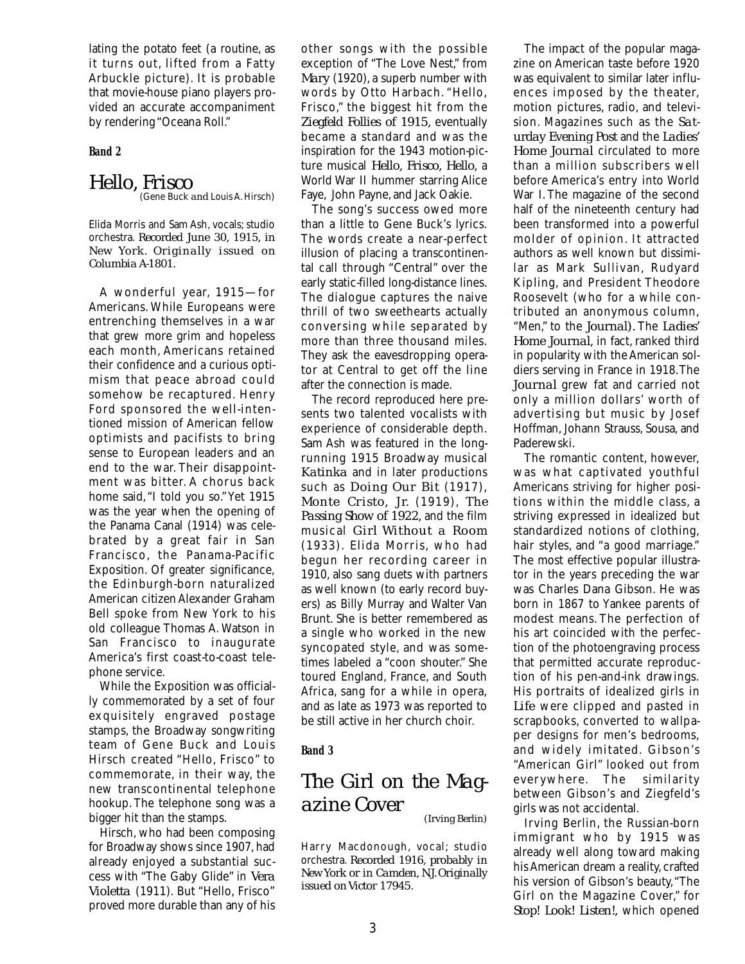lating the potato feet (a routine, as it turns out, lifted from a Fatty Arbuckle picture). It is probable that movie-house piano players provided an accurate accompaniment by rendering "Oceana Roll."

#### **Band 2**

#### *Hello, Frisco* (Gene Buck *and* Louis A. Hirsch)

*Columbia A-1801.*

Elida Morris and Sam Ash, vocals; studio orchestra. *Recorded June 30, 1915, in New York. Originally issued on*

A wonderful year, 1915—for Americans. While Europeans were entrenching themselves in a war that grew more grim and hopeless each month, Americans retained their confidence and a curious optimism that peace abroad could somehow be recaptured. Henry Ford sponsored the well-intentioned mission of American fellow optimists and pacifists to bring sense to European leaders and an end to the war. Their disappointment was bitter. A chorus back home said,"I told you so."Yet 1915 was the year when the opening of the Panama Canal (1914) was celebrated by a great fair in San Francisco, the Panama-Pacific Exposition. Of greater significance, the Edinburgh-born naturalized American citizen Alexander Graham Bell spoke from New York to his old colleague Thomas A. Watson in San Francisco to inaugurate America's first coast-to-coast telephone service.

While the Exposition was officially commemorated by a set of four exquisitely engraved postage stamps, the Broadway songwriting team of Gene Buck and Louis Hirsch created "Hello, Frisco" to commemorate, in their way, the new transcontinental telephone hookup.The telephone song was a bigger hit than the stamps.

Hirsch, who had been composing for Broadway shows since 1907, had already enjoyed a substantial success with "The Gaby Glide" in *Vera Violetta* (1911). But "Hello, Frisco" proved more durable than any of his other songs with the possible exception of "The Love Nest," from *Mary* (1920), a superb number with words by Otto Harbach. "Hello, Frisco," the biggest hit from the *Ziegfeld Follies of 1915,* eventually became a standard and was the inspiration for the 1943 motion-picture musical *Hello, Frisco, Hello,* a World War II hummer starring Alice Faye, John Payne, and Jack Oakie.

The song's success owed more than a little to Gene Buck's lyrics. The words create a near-perfect illusion of placing a transcontinental call through "Central" over the early static-filled long-distance lines. The dialogue captures the naive thrill of two sweethearts actually conversing while separated by more than three thousand miles. They ask the eavesdropping operator at Central to get off the line after the connection is made.

The record reproduced here presents two talented vocalists with experience of considerable depth. Sam Ash was featured in the longrunning 1915 Broadway musical *Katinka* and in later productions such as *Doing Our Bit* (1917), *Monte Cristo, Jr.* (1919), *The Passing Show of 1922,* and the film musical *Girl Without a Room* (1933). Elida Morris, who had begun her recording career in 1910, also sang duets with partners as well known (to early record buyers) as Billy Murray and Walter Van Brunt. She is better remembered as a single who worked in the new syncopated style, and was sometimes labeled a "coon shouter." She toured England, France, and South Africa, sang for a while in opera, and as late as 1973 was reported to be still active in her church choir.

#### **Band 3**

### *The Girl on the Magazine Cover (Irving Berlin)*

Harry Macdonough, vocal; studio orchestra. *Recorded 1916, probably in New York or in Camden, N.J.Originally issued on Victor 17945.*

The impact of the popular magazine on American taste before 1920 was equivalent to similar later influences imposed by the theater, motion pictures, radio, and television. Magazines such as the *Saturday Evening Post* and the *Ladies' Home Journal* circulated to more than a million subscribers well before America's entry into World War I. The magazine of the second half of the nineteenth century had been transformed into a powerful molder of opinion. It attracted authors as well known but dissimilar as Mark Sullivan, Rudyard Kipling, and President Theodore Roosevelt (who for a while contributed an anonymous column, "Men," to the *Journal).* The *Ladies' Home Journal,* in fact, ranked third in popularity with the American soldiers serving in France in 1918.The *Journal* grew fat and carried not only a million dollars' worth of advertising but music by Josef Hoffman, Johann Strauss, Sousa, and Paderewski.

The romantic content, however, was what captivated youthful Americans striving for higher positions within the middle class, a striving expressed in idealized but standardized notions of clothing, hair styles, and "a good marriage." The most effective popular illustrator in the years preceding the war was Charles Dana Gibson. He was born in 1867 to Yankee parents of modest means. The perfection of his art coincided with the perfection of the photoengraving process that permitted accurate reproduction of his pen-and-ink drawings. His portraits of idealized girls in *Life* were clipped and pasted in scrapbooks, converted to wallpaper designs for men's bedrooms, and widely imitated. Gibson's "American Girl" looked out from ever ywhere. The similarity between Gibson's and Ziegfeld's girls was not accidental.

Irving Berlin, the Russian-born immigrant who by 1915 was already well along toward making his American dream a reality, crafted his version of Gibson's beauty,"The Girl on the Magazine Cover," for *Stop! Look! Listen!,* which opened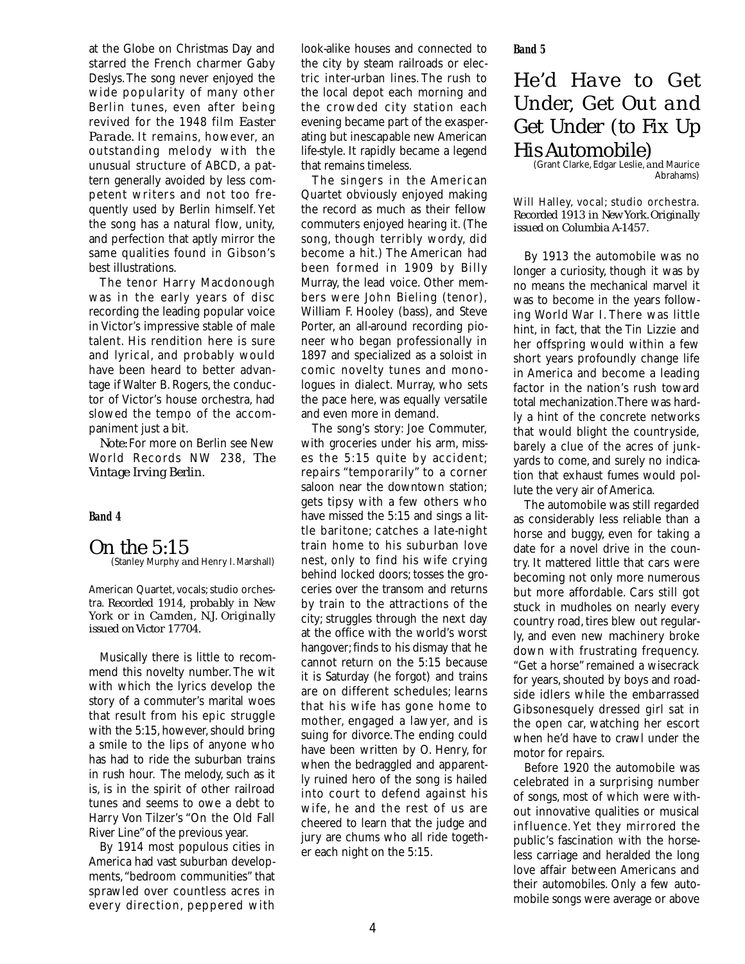at the Globe on Christmas Day and starred the French charmer Gaby Deslys.The song never enjoyed the wide popularity of many other Berlin tunes, even after being revived for the 1948 film *Easter Parade.* It remains, however, an outstanding melody with the unusual structure of ABCD, a pattern generally avoided by less competent writers and not too frequently used by Berlin himself.Yet the song has a natural flow, unity, and perfection that aptly mirror the same qualities found in Gibson's best illustrations.

The tenor Harry Macdonough was in the early years of disc recording the leading popular voice in Victor's impressive stable of male talent. His rendition here is sure and lyrical, and probably would have been heard to better advantage if Walter B. Rogers, the conductor of Victor's house orchestra, had slowed the tempo of the accompaniment just a bit.

*Note:* For more on Berlin see New World Records NW 238, *The Vintage Irving Berlin.*

#### **Band 4**

*On the 5:15* (Stanley Murphy *and* Henry I. Marshall)

American Quartet, vocals; studio orchestra. *Recorded 1914, probably in New York or in Camden, N.J. Originally issued on Victor 17704.*

Musically there is little to recommend this novelty number.The wit with which the lyrics develop the story of a commuter's marital woes that result from his epic struggle with the 5:15, however, should bring a smile to the lips of anyone who has had to ride the suburban trains in rush hour. The melody, such as it is, is in the spirit of other railroad tunes and seems to owe a debt to Harry Von Tilzer's "On the Old Fall River Line"of the previous year.

By 1914 most populous cities in America had vast suburban developments,"bedroom communities" that sprawled over countless acres in every direction, peppered with look-alike houses and connected to the city by steam railroads or electric inter-urban lines. The rush to the local depot each morning and the crowded city station each evening became part of the exasperating but inescapable new American life-style. It rapidly became a legend that remains timeless.

The singers in the American Quartet obviously enjoyed making the record as much as their fellow commuters enjoyed hearing it.(The song, though terribly wordy, did become a hit.) The American had been formed in 1909 by Billy Murray, the lead voice. Other members were John Bieling (tenor), William F. Hooley (bass), and Steve Porter, an all-around recording pioneer who began professionally in 1897 and specialized as a soloist in comic novelty tunes and monologues in dialect. Murray, who sets the pace here, was equally versatile and even more in demand.

The song's story: Joe Commuter, with groceries under his arm, misses the 5:15 quite by accident; repairs "temporarily" to a corner saloon near the downtown station; gets tipsy with a few others who have missed the 5:15 and sings a little baritone; catches a late-night train home to his suburban love nest, only to find his wife crying behind locked doors; tosses the groceries over the transom and returns by train to the attractions of the city; struggles through the next day at the office with the world's worst hangover; finds to his dismay that he cannot return on the 5:15 because it is Saturday (he forgot) and trains are on different schedules; learns that his wife has gone home to mother, engaged a lawyer, and is suing for divorce.The ending could have been written by O. Henry, for when the bedraggled and apparently ruined hero of the song is hailed into court to defend against his wife, he and the rest of us are cheered to learn that the judge and jury are chums who all ride together each night on the 5:15.

## *He'd Have to Get Under, Get Out and Get Under (to Fix Up His Automobile)*

(Grant Clarke, Edgar Leslie,*and* Maurice Abrahams)

Will Halley, vocal; studio orchestra. *Recorded 1913 in New York. Originally issued on Columbia A-1457.*

By 1913 the automobile was no longer a curiosity, though it was by no means the mechanical marvel it was to become in the years following World War I. There was little hint, in fact, that the Tin Lizzie and her offspring would within a few short years profoundly change life in America and become a leading factor in the nation's rush toward total mechanization.There was hardly a hint of the concrete networks that would blight the countryside, barely a clue of the acres of junkyards to come, and surely no indication that exhaust fumes would pollute the very air of America.

The automobile was still regarded as considerably less reliable than a horse and buggy, even for taking a date for a novel drive in the country. It mattered little that cars were becoming not only more numerous but more affordable. Cars still got stuck in mudholes on nearly every country road, tires blew out regularly, and even new machinery broke down with frustrating frequency. "Get a horse" remained a wisecrack for years, shouted by boys and roadside idlers while the embarrassed Gibsonesquely dressed girl sat in the open car, watching her escort when he'd have to crawl under the motor for repairs.

Before 1920 the automobile was celebrated in a surprising number of songs, most of which were without innovative qualities or musical influence. Yet they mirrored the public's fascination with the horseless carriage and heralded the long love affair between Americans and their automobiles. Only a few automobile songs were average or above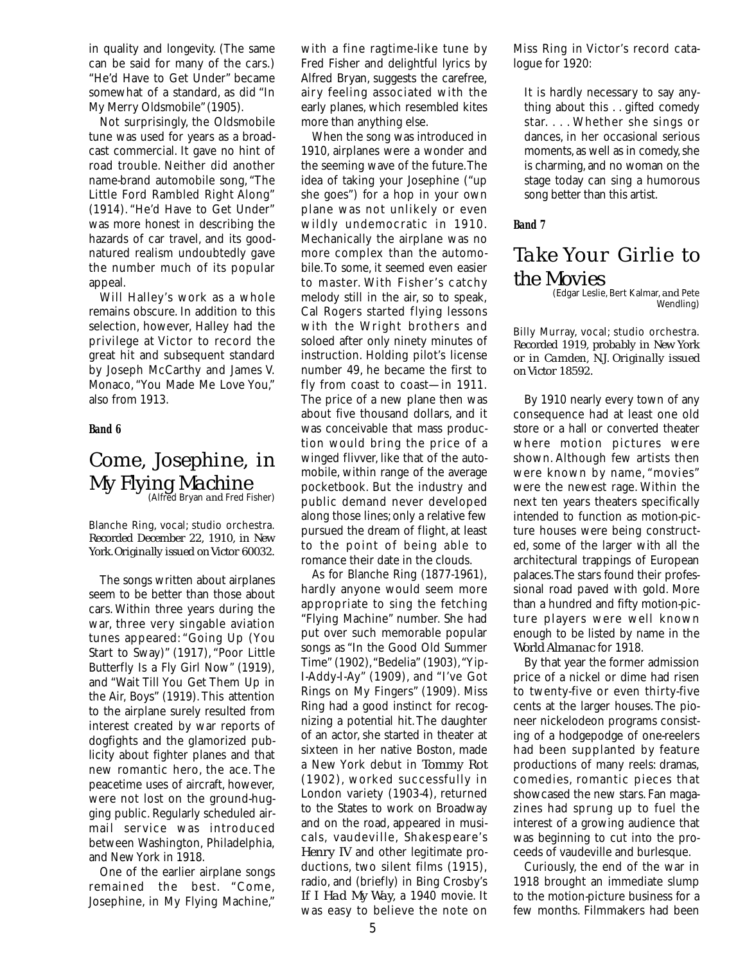in quality and longevity. (The same can be said for many of the cars.) "He'd Have to Get Under" became somewhat of a standard, as did "In My Merry Oldsmobile" (1905).

Not surprisingly, the Oldsmobile tune was used for years as a broadcast commercial. It gave no hint of road trouble. Neither did another name-brand automobile song, "The Little Ford Rambled Right Along" (1914). "He'd Have to Get Under" was more honest in describing the hazards of car travel, and its goodnatured realism undoubtedly gave the number much of its popular appeal.

Will Halley's work as a whole remains obscure. In addition to this selection, however, Halley had the privilege at Victor to record the great hit and subsequent standard by Joseph McCarthy and James V. Monaco, "You Made Me Love You," also from 1913.

#### **Band 6**

# *Come, Josephine, in My Flying Machine* (Alfred Bryan *and* Fred Fisher)

Blanche Ring, vocal; studio orchestra. *Recorded December 22, 1910, in New York.Originally issued on Victor 60032.*

The songs written about airplanes seem to be better than those about cars. Within three years during the war, three very singable aviation tunes appeared: "Going Up (You Start to Sway)" (1917), "Poor Little Butterfly Is a Fly Girl Now" (1919), and "Wait Till You Get Them Up in the Air, Boys" (1919). This attention to the airplane surely resulted from interest created by war reports of dogfights and the glamorized publicity about fighter planes and that new romantic hero, the ace. The peacetime uses of aircraft, however, were not lost on the ground-hugging public. Regularly scheduled airmail service was introduced between Washington, Philadelphia, and New York in 1918.

One of the earlier airplane songs remained the best. "Come, Josephine, in My Flying Machine,"

with a fine ragtime-like tune by Fred Fisher and delightful lyrics by Alfred Bryan, suggests the carefree, airy feeling associated with the early planes, which resembled kites more than anything else.

When the song was introduced in 1910, airplanes were a wonder and the seeming wave of the future.The idea of taking your Josephine ("up she goes") for a hop in your own plane was not unlikely or even wildly undemocratic in 1910. Mechanically the airplane was no more complex than the automobile.To some, it seemed even easier to master. With Fisher's catchy melody still in the air, so to speak, Cal Rogers started flying lessons with the Wright brothers and soloed after only ninety minutes of instruction. Holding pilot's license number 49, he became the first to fly from coast to coast—in 1911. The price of a new plane then was about five thousand dollars, and it was conceivable that mass production would bring the price of a winged flivver, like that of the automobile, within range of the average pocketbook. But the industry and public demand never developed along those lines; only a relative few pursued the dream of flight, at least to the point of being able to romance their date in the clouds.

As for Blanche Ring (1877-1961), hardly anyone would seem more appropriate to sing the fetching "Flying Machine" number. She had put over such memorable popular songs as "In the Good Old Summer Time" (1902),"Bedelia" (1903),"Yip-I-Addy-I-Ay" (1909), and "I've Got Rings on My Fingers" (1909). Miss Ring had a good instinct for recognizing a potential hit.The daughter of an actor, she started in theater at sixteen in her native Boston, made a New York debut in *Tommy Rot* (1902), worked successfully in London variety (1903-4), returned to the States to work on Broadway and on the road, appeared in musicals, vaudeville, Shakespeare's *Henry IV* and other legitimate productions, two silent films (1915), radio, and (briefly) in Bing Crosby's *If I Had My Way,* a 1940 movie. It was easy to believe the note on

Miss Ring in Victor's record catalogue for 1920:

It is hardly necessary to say anything about this . . gifted comedy star. . . . Whether she sings or dances, in her occasional serious moments, as well as in comedy, she is charming, and no woman on the stage today can sing a humorous song better than this artist.

**Band 7**

## *Take Your Girlie to the Movies*

(Edgar Leslie, Bert Kalmar, and Pete Wendling)

Billy Murray, vocal; studio orchestra. *Recorded 1919, probably in New York or in Camden, N.J. Originally issued on Victor 18592.*

By 1910 nearly every town of any consequence had at least one old store or a hall or converted theater where motion pictures were shown. Although few artists then were known by name, "movies" were the newest rage. Within the next ten years theaters specifically intended to function as motion-picture houses were being constructed, some of the larger with all the architectural trappings of European palaces.The stars found their professional road paved with gold. More than a hundred and fifty motion-picture players were well known enough to be listed by name in the *World Almanac* for 1918.

By that year the former admission price of a nickel or dime had risen to twenty-five or even thirty-five cents at the larger houses.The pioneer nickelodeon programs consisting of a hodgepodge of one-reelers had been supplanted by feature productions of many reels: dramas, comedies, romantic pieces that showcased the new stars. Fan magazines had sprung up to fuel the interest of a growing audience that was beginning to cut into the proceeds of vaudeville and burlesque.

Curiously, the end of the war in 1918 brought an immediate slump to the motion-picture business for a few months. Filmmakers had been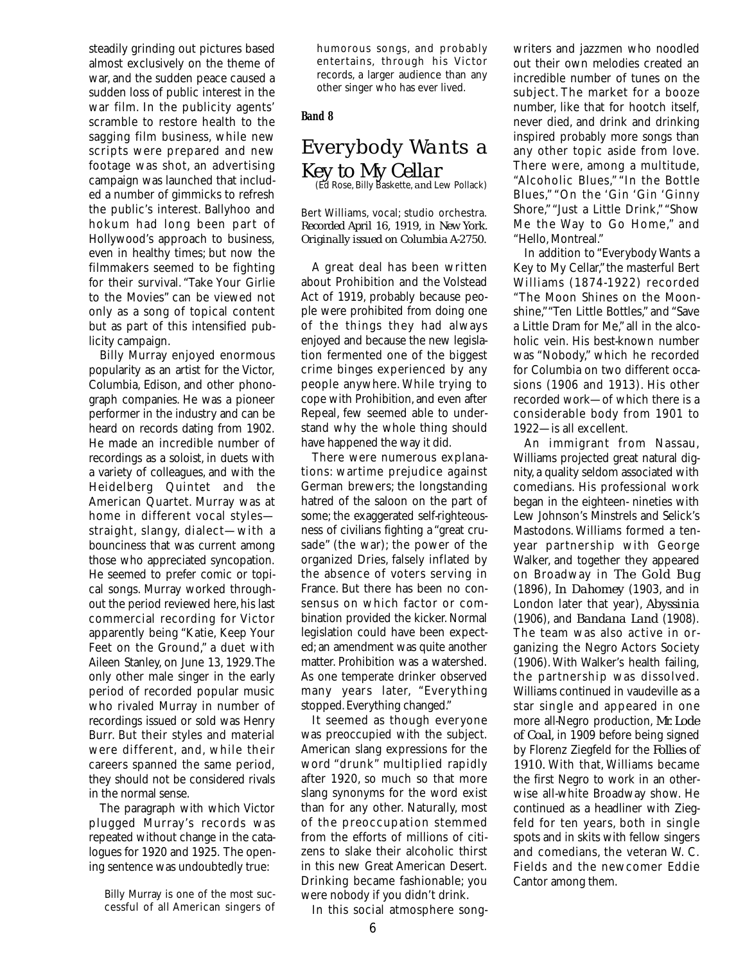steadily grinding out pictures based almost exclusively on the theme of war, and the sudden peace caused a sudden loss of public interest in the war film. In the publicity agents' scramble to restore health to the sagging film business, while new scripts were prepared and new footage was shot, an advertising campaign was launched that included a number of gimmicks to refresh the public's interest. Ballyhoo and hokum had long been part of Hollywood's approach to business, even in healthy times; but now the filmmakers seemed to be fighting for their survival. "Take Your Girlie to the Movies" can be viewed not only as a song of topical content but as part of this intensified publicity campaign.

Billy Murray enjoyed enormous popularity as an artist for the Victor, Columbia, Edison, and other phonograph companies. He was a pioneer performer in the industry and can be heard on records dating from 1902. He made an incredible number of recordings as a soloist, in duets with a variety of colleagues, and with the Heidelberg Quintet and the American Quartet. Murray was at home in different vocal styles straight, slangy, dialect—with a bounciness that was current among those who appreciated syncopation. He seemed to prefer comic or topical songs. Murray worked throughout the period reviewed here, his last commercial recording for Victor apparently being "Katie, Keep Your Feet on the Ground," a duet with Aileen Stanley, on June 13, 1929.The only other male singer in the early period of recorded popular music who rivaled Murray in number of recordings issued or sold was Henry Burr. But their styles and material were different, and, while their careers spanned the same period, they should not be considered rivals in the normal sense.

The paragraph with which Victor plugged Murray's records was repeated without change in the catalogues for 1920 and 1925. The opening sentence was undoubtedly true:

humorous songs, and probably entertains, through his Victor records, a larger audience than any other singer who has ever lived.

#### **Band 8**

### *Everybody Wants a Key to My Cellar* (Ed Rose,Billy Baskette, *and* Lew Pollack)

Bert Williams, vocal; studio orchestra. *Recorded April 16, 1919, in New York. Originally issued on Columbia A-2750.*

A great deal has been written about Prohibition and the Volstead Act of 1919, probably because people were prohibited from doing one of the things they had always enjoyed and because the new legislation fermented one of the biggest crime binges experienced by any people anywhere. While trying to cope with Prohibition, and even after Repeal, few seemed able to understand why the whole thing should have happened the way it did.

There were numerous explanations: wartime prejudice against German brewers; the longstanding hatred of the saloon on the part of some; the exaggerated self-righteousness of civilians fighting a "great crusade" (the war); the power of the organized Dries, falsely inflated by the absence of voters serving in France. But there has been no consensus on which factor or combination provided the kicker. Normal legislation could have been expected; an amendment was quite another matter. Prohibition was a watershed. As one temperate drinker observed many years later, "Everything stopped. Everything changed."

It seemed as though everyone was preoccupied with the subject. American slang expressions for the word "drunk" multiplied rapidly after 1920, so much so that more slang synonyms for the word exist than for any other. Naturally, most of the preoccupation stemmed from the efforts of millions of citizens to slake their alcoholic thirst in this new Great American Desert. Drinking became fashionable; you were nobody if you didn't drink.

In this social atmosphere song-

out their own melodies created an incredible number of tunes on the subject. The market for a booze number, like that for hootch itself, never died, and drink and drinking inspired probably more songs than any other topic aside from love. There were, among a multitude, "Alcoholic Blues," "In the Bottle Blues," "On the 'Gin 'Gin 'Ginny Shore," "Just a Little Drink," "Show Me the Way to Go Home," and "Hello, Montreal."

writers and jazzmen who noodled

In addition to "Everybody Wants a Key to My Cellar," the masterful Bert Williams (1874-1922) recorded "The Moon Shines on the Moonshine,""Ten Little Bottles," and "Save a Little Dram for Me," all in the alcoholic vein. His best-known number was "Nobody," which he recorded for Columbia on two different occasions (1906 and 1913). His other recorded work—of which there is a considerable body from 1901 to 1922—is all excellent.

An immigrant from Nassau, Williams projected great natural dignity, a quality seldom associated with comedians. His professional work began in the eighteen- nineties with Lew Johnson's Minstrels and Selick's Mastodons. Williams formed a tenyear partnership with George Walker, and together they appeared on Broadway in *The Gold Bug* (1896), *In Dahomey* (1903, and in London later that year), *Abyssinia* (1906), and *Bandana Land* (1908). The team was also active in organizing the Negro Actors Society (1906). With Walker's health failing, the partnership was dissolved. Williams continued in vaudeville as a star single and appeared in one more all-Negro production, *Mr. Lode of Coal,* in 1909 before being signed by Florenz Ziegfeld for the *Follies of 1910.* With that, Williams became the first Negro to work in an otherwise all-white Broadway show. He continued as a headliner with Ziegfeld for ten years, both in single spots and in skits with fellow singers and comedians, the veteran W. C. Fields and the newcomer Eddie Cantor among them.

Billy Murray is one of the most successful of all American singers of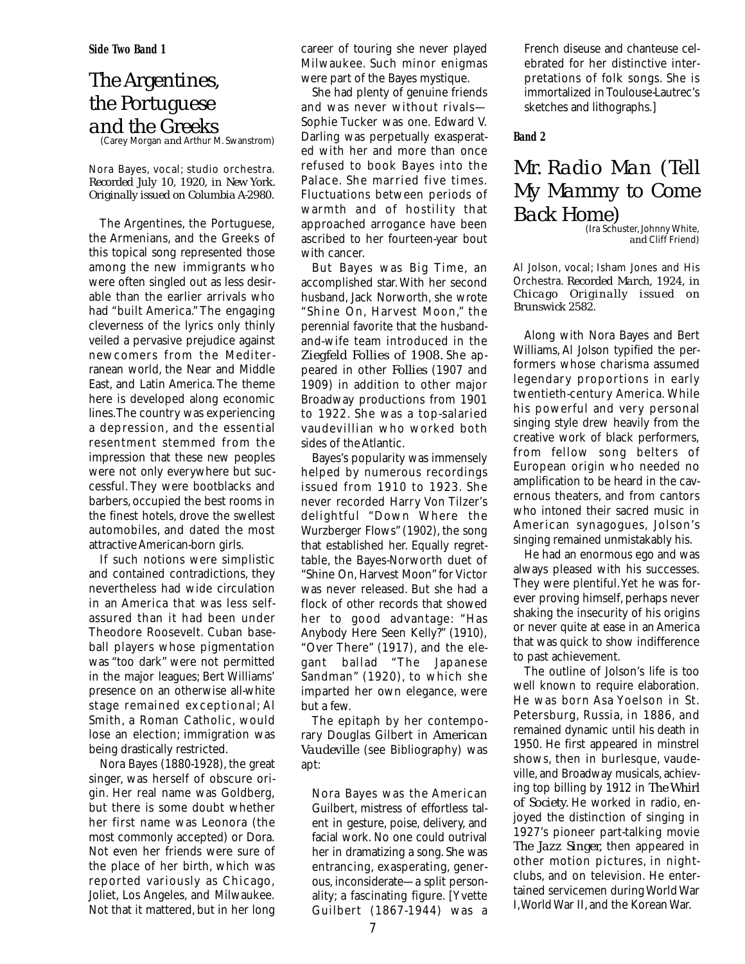**Side Two Band 1**

## *The Argentines, the Portuguese and the Greeks*

(Carey Morgan *and* Arthur M. Swanstrom)

Nora Bayes, vocal; studio orchestra. *Recorded July 10, 1920, in New York. Originally issued on Columbia A-2980.*

The Argentines, the Portuguese, the Armenians, and the Greeks of this topical song represented those among the new immigrants who were often singled out as less desirable than the earlier arrivals who had "built America." The engaging cleverness of the lyrics only thinly veiled a pervasive prejudice against newcomers from the Mediterranean world, the Near and Middle East, and Latin America. The theme here is developed along economic lines.The country was experiencing a depression, and the essential resentment stemmed from the impression that these new peoples were not only everywhere but successful. They were bootblacks and barbers, occupied the best rooms in the finest hotels, drove the swellest automobiles, and dated the most attractive American-born girls.

If such notions were simplistic and contained contradictions, they nevertheless had wide circulation in an America that was less selfassured than it had been under Theodore Roosevelt. Cuban baseball players whose pigmentation was "too dark" were not permitted in the major leagues; Bert Williams' presence on an otherwise all-white stage remained exceptional; Al Smith, a Roman Catholic, would lose an election; immigration was being drastically restricted.

Nora Bayes (1880-1928), the great singer, was herself of obscure origin. Her real name was Goldberg, but there is some doubt whether her first name was Leonora (the most commonly accepted) or Dora. Not even her friends were sure of the place of her birth, which was reported variously as Chicago, Joliet, Los Angeles, and Milwaukee. Not that it mattered, but in her long

career of touring she never played Milwaukee. Such minor enigmas were part of the Bayes mystique.

She had plenty of genuine friends and was never without rivals— Sophie Tucker was one. Edward V. Darling was perpetually exasperated with her and more than once refused to book Bayes into the Palace. She married five times. Fluctuations between periods of warmth and of hostility that approached arrogance have been ascribed to her fourteen-year bout with cancer.

But Bayes was Big Time, an accomplished star.With her second husband, Jack Norworth, she wrote "Shine On, Harvest Moon," the perennial favorite that the husbandand-wife team introduced in the *Ziegfeld Follies of 1908.* She appeared in other *Follies* (1907 and 1909) in addition to other major Broadway productions from 1901 to 1922. She was a top-salaried vaudevillian who worked both sides of the Atlantic.

Bayes's popularity was immensely helped by numerous recordings issued from 1910 to 1923. She never recorded Harry Von Tilzer's delightful "Down Where the Wurzberger Flows" (1902), the song that established her. Equally regrettable, the Bayes-Norworth duet of "Shine On, Harvest Moon" for Victor was never released. But she had a flock of other records that showed her to good advantage: "Has Anybody Here Seen Kelly?" (1910), "Over There" (1917), and the elegant ballad "The Japanese Sandman" (1920), to which she imparted her own elegance, were but a few.

The epitaph by her contemporary Douglas Gilbert in *American Vaudeville* (see Bibliography) was apt:

Nora Bayes was the American Guilbert, mistress of effortless talent in gesture, poise, delivery, and facial work. No one could outrival her in dramatizing a song. She was entrancing, exasperating, generous, inconsiderate—a split personality; a fascinating figure. [Yvette Guilbert (1867-1944) was a French diseuse and chanteuse celebrated for her distinctive interpretations of folk songs. She is immortalized in Toulouse-Lautrec's sketches and lithographs.]

#### **Band 2**

## *Mr. Radio Man (Tell My Mammy to Come Back Home)*

(Ira Schuster,Johnny White, *and* Cliff Friend)

Al Jolson, vocal; Isham Jones and His Orchestra. *Recorded March, 1924, in Chicago Originally issued on Brunswick 2582.*

Along with Nora Bayes and Bert Williams, Al Jolson typified the performers whose charisma assumed legendary proportions in early twentieth-century America. While his powerful and very personal singing style drew heavily from the creative work of black performers, from fellow song belters of European origin who needed no amplification to be heard in the cavernous theaters, and from cantors who intoned their sacred music in American synagogues, Jolson's singing remained unmistakably his.

He had an enormous ego and was always pleased with his successes. They were plentiful.Yet he was forever proving himself, perhaps never shaking the insecurity of his origins or never quite at ease in an America that was quick to show indifference to past achievement.

The outline of Jolson's life is too well known to require elaboration. He was born Asa Yoelson in St. Petersburg, Russia, in 1886, and remained dynamic until his death in 1950. He first appeared in minstrel shows, then in burlesque, vaudeville, and Broadway musicals, achieving top billing by 1912 in *The Whirl of Society.* He worked in radio, enjoyed the distinction of singing in 1927's pioneer part-talking movie *The Jazz Singer,* then appeared in other motion pictures, in nightclubs, and on television. He entertained servicemen during World War I,World War II, and the Korean War.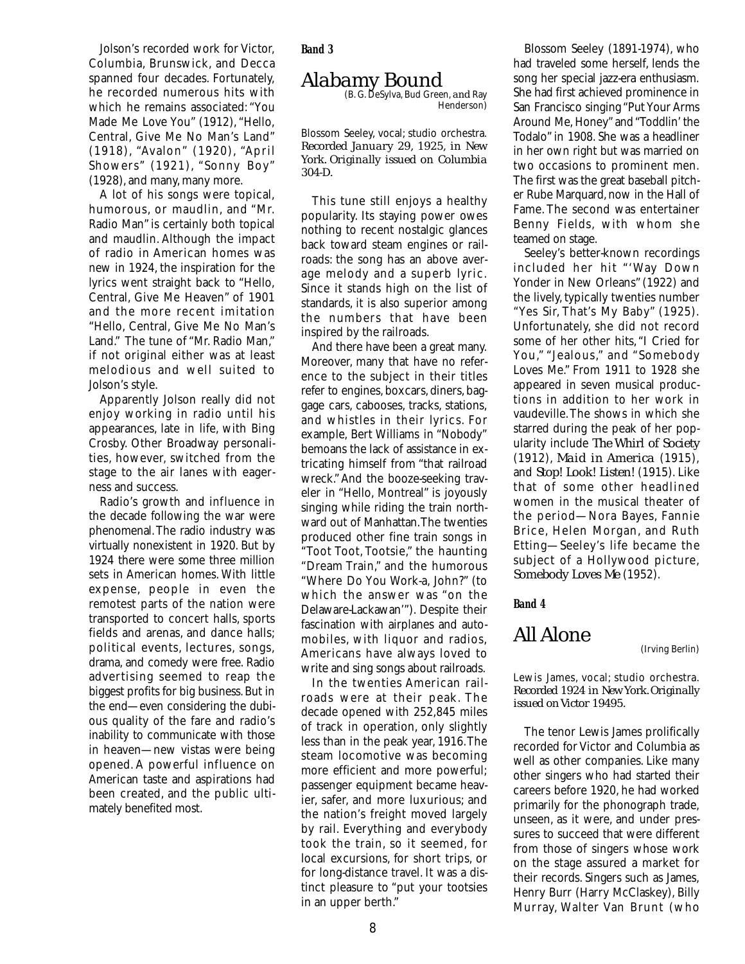Jolson's recorded work for Victor, Columbia, Brunswick, and Decca spanned four decades. Fortunately, he recorded numerous hits with which he remains associated: "You Made Me Love You" (1912), "Hello, Central, Give Me No Man's Land" (1918), "Avalon" (1920), "April Showers" (1921), "Sonny Boy" (1928), and many, many more.

A lot of his songs were topical, humorous, or maudlin, and "Mr. Radio Man" is certainly both topical and maudlin. Although the impact of radio in American homes was new in 1924, the inspiration for the lyrics went straight back to "Hello, Central, Give Me Heaven" of 1901 and the more recent imitation "Hello, Central, Give Me No Man's Land." The tune of "Mr. Radio Man," if not original either was at least melodious and well suited to Jolson's style.

Apparently Jolson really did not enjoy working in radio until his appearances, late in life, with Bing Crosby. Other Broadway personalities, however, switched from the stage to the air lanes with eagerness and success.

Radio's growth and influence in the decade following the war were phenomenal.The radio industry was virtually nonexistent in 1920. But by 1924 there were some three million sets in American homes. With little expense, people in even the remotest parts of the nation were transported to concert halls, sports fields and arenas, and dance halls; political events, lectures, songs, drama, and comedy were free. Radio advertising seemed to reap the biggest profits for big business.But in the end—even considering the dubious quality of the fare and radio's inability to communicate with those in heaven—new vistas were being opened. A powerful influence on American taste and aspirations had been created, and the public ultimately benefited most.

**Band 3**

# *Alabamy Bound* (B. G. DeSylva,Bud Green, *and* Ray

Henderson)

Blossom Seeley, vocal; studio orchestra. *Recorded January 29, 1925, in New York. Originally issued on Columbia 304-D.*

This tune still enjoys a healthy popularity. Its staying power owes nothing to recent nostalgic glances back toward steam engines or railroads: the song has an above average melody and a superb lyric. Since it stands high on the list of standards, it is also superior among the numbers that have been inspired by the railroads.

And there have been a great many. Moreover, many that have no reference to the subject in their titles refer to engines, boxcars, diners, baggage cars, cabooses, tracks, stations, and whistles in their lyrics. For example, Bert Williams in "Nobody" bemoans the lack of assistance in extricating himself from "that railroad wreck."And the booze-seeking traveler in "Hello, Montreal" is joyously singing while riding the train northward out of Manhattan.The twenties produced other fine train songs in "Toot Toot, Tootsie," the haunting "Dream Train," and the humorous "Where Do You Work-a, John?" (to which the answer was "on the Delaware-Lackawan'"). Despite their fascination with airplanes and automobiles, with liquor and radios, Americans have always loved to write and sing songs about railroads.

In the twenties American railroads were at their peak. The decade opened with 252,845 miles of track in operation, only slightly less than in the peak year, 1916.The steam locomotive was becoming more efficient and more powerful; passenger equipment became heavier, safer, and more luxurious; and the nation's freight moved largely by rail. Everything and everybody took the train, so it seemed, for local excursions, for short trips, or for long-distance travel. It was a distinct pleasure to "put your tootsies in an upper berth."

Blossom Seeley (1891-1974), who had traveled some herself, lends the song her special jazz-era enthusiasm. She had first achieved prominence in San Francisco singing "Put Your Arms Around Me, Honey" and "Toddlin' the Todalo" in 1908. She was a headliner in her own right but was married on two occasions to prominent men. The first was the great baseball pitcher Rube Marquard, now in the Hall of Fame. The second was entertainer Benny Fields, with whom she teamed on stage.

Seeley's better-known recordings included her hit "'Way Down Yonder in New Orleans" (1922) and the lively, typically twenties number "Yes Sir, That's My Baby" (1925). Unfortunately, she did not record some of her other hits, "I Cried for You," "Jealous," and "Somebody Loves Me." From 1911 to 1928 she appeared in seven musical productions in addition to her work in vaudeville.The shows in which she starred during the peak of her popularity include *The Whirl of Society* (1912), *Maid in America* (1915), and *Stop! Look! Listen!* (1915). Like that of some other headlined women in the musical theater of the period—Nora Bayes, Fannie Brice, Helen Morgan, and Ruth Etting—Seeley's life became the subject of a Hollywood picture, *Somebody Loves Me* (1952).

**Band 4**

### *All Alone*

(Irving Berlin)

#### Lewis James, vocal; studio orchestra. *Recorded 1924 in New York. Originally issued on Victor 19495.*

The tenor Lewis James prolifically recorded for Victor and Columbia as well as other companies. Like many other singers who had started their careers before 1920, he had worked primarily for the phonograph trade, unseen, as it were, and under pressures to succeed that were different from those of singers whose work on the stage assured a market for their records. Singers such as James, Henry Burr (Harry McClaskey), Billy Murray, Walter Van Brunt (who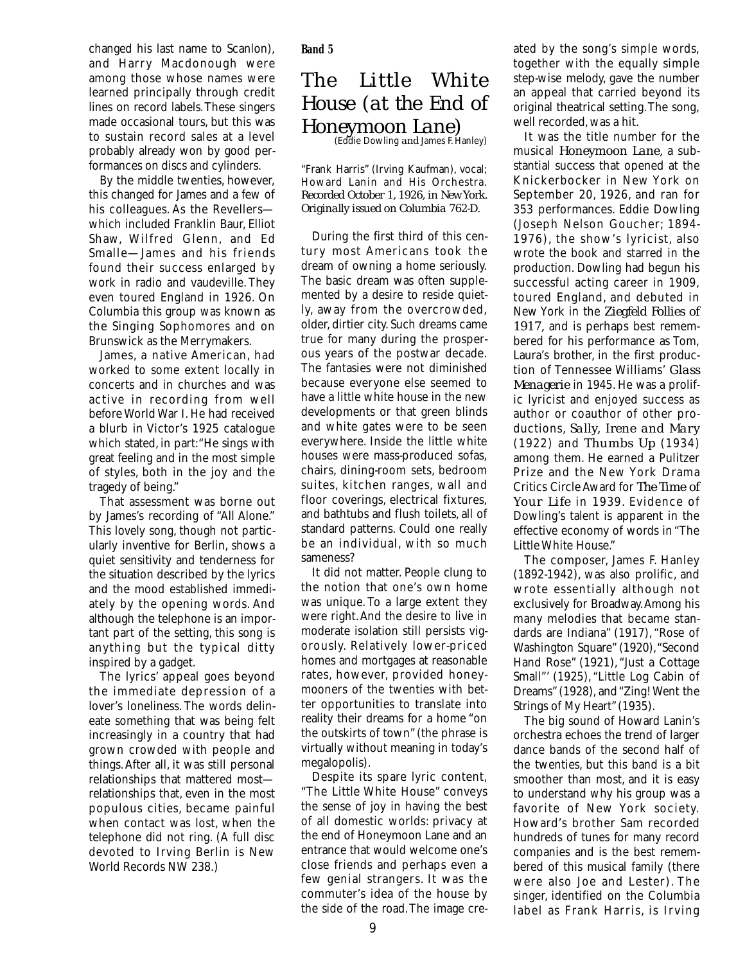changed his last name to Scanlon), and Harry Macdonough were among those whose names were learned principally through credit lines on record labels.These singers made occasional tours, but this was to sustain record sales at a level probably already won by good performances on discs and cylinders.

By the middle twenties, however, this changed for James and a few of his colleagues. As the Revellers which included Franklin Baur, Elliot Shaw, Wilfred Glenn, and Ed Smalle—James and his friends found their success enlarged by work in radio and vaudeville. They even toured England in 1926. On Columbia this group was known as the Singing Sophomores and on Brunswick as the Merrymakers.

James, a native American, had worked to some extent locally in concerts and in churches and was active in recording from well before World War I. He had received a blurb in Victor's 1925 catalogue which stated, in part:"He sings with great feeling and in the most simple of styles, both in the joy and the tragedy of being."

That assessment was borne out by James's recording of "All Alone." This lovely song, though not particularly inventive for Berlin, shows a quiet sensitivity and tenderness for the situation described by the lyrics and the mood established immediately by the opening words. And although the telephone is an important part of the setting, this song is anything but the typical ditty inspired by a gadget.

The lyrics' appeal goes beyond the immediate depression of a lover's loneliness. The words delineate something that was being felt increasingly in a country that had grown crowded with people and things.After all, it was still personal relationships that mattered most relationships that, even in the most populous cities, became painful when contact was lost, when the telephone did not ring. (A full disc devoted to Irving Berlin is New World Records NW 238.)

**Band 5**

## *The Little White House (at the End of Honeymoon Lane)*<br>(Eddie Dowling *and James E Hanley*)

"Frank Harris" (Irving Kaufman), vocal; Howard Lanin and His Orchestra. *Recorded October 1, 1926, in New York. Originally issued on Columbia 762-D.*

During the first third of this century most Americans took the dream of owning a home seriously. The basic dream was often supplemented by a desire to reside quietly, away from the overcrowded, older, dirtier city. Such dreams came true for many during the prosperous years of the postwar decade. The fantasies were not diminished because everyone else seemed to have a little white house in the new developments or that green blinds and white gates were to be seen everywhere. Inside the little white houses were mass-produced sofas, chairs, dining-room sets, bedroom suites, kitchen ranges, wall and floor coverings, electrical fixtures, and bathtubs and flush toilets, all of standard patterns. Could one really be an individual, with so much sameness?

It did not matter. People clung to the notion that one's own home was unique. To a large extent they were right.And the desire to live in moderate isolation still persists vigorously. Relatively lower-priced homes and mortgages at reasonable rates, however, provided honeymooners of the twenties with better opportunities to translate into reality their dreams for a home "on the outskirts of town" (the phrase is virtually without meaning in today's megalopolis).

Despite its spare lyric content, "The Little White House" conveys the sense of joy in having the best of all domestic worlds: privacy at the end of Honeymoon Lane and an entrance that would welcome one's close friends and perhaps even a few genial strangers. It was the commuter's idea of the house by the side of the road.The image created by the song's simple words, together with the equally simple step-wise melody, gave the number an appeal that carried beyond its original theatrical setting.The song, well recorded, was a hit.

It was the title number for the musical *Honeymoon Lane,* a substantial success that opened at the Knickerbocker in New York on September 20, 1926, and ran for 353 performances. Eddie Dowling (Joseph Nelson Goucher; 1894- 1976), the show's lyricist, also wrote the book and starred in the production. Dowling had begun his successful acting career in 1909, toured England, and debuted in New York in the *Ziegfeld Follies of 1917,* and is perhaps best remembered for his performance as Tom, Laura's brother, in the first production of Tennessee Williams' *Glass Menagerie* in 1945. He was a prolific lyricist and enjoyed success as author or coauthor of other productions, *Sally, Irene and Mary* (1922) and *Thumbs Up* (1934) among them. He earned a Pulitzer Prize and the New York Drama Critics Circle Award for *The Time of Your Life* in 1939. Evidence of Dowling's talent is apparent in the effective economy of words in "The Little White House."

The composer, James F. Hanley (1892-1942), was also prolific, and wrote essentially although not exclusively for Broadway.Among his many melodies that became standards are Indiana" (1917), "Rose of Washington Square" (1920),"Second Hand Rose" (1921), "Just a Cottage Small"' (1925), "Little Log Cabin of Dreams" (1928), and "Zing! Went the Strings of My Heart" (1935).

The big sound of Howard Lanin's orchestra echoes the trend of larger dance bands of the second half of the twenties, but this band is a bit smoother than most, and it is easy to understand why his group was a favorite of New York society. Howard's brother Sam recorded hundreds of tunes for many record companies and is the best remembered of this musical family (there were also Joe and Lester). The singer, identified on the Columbia label as Frank Harris, is Irving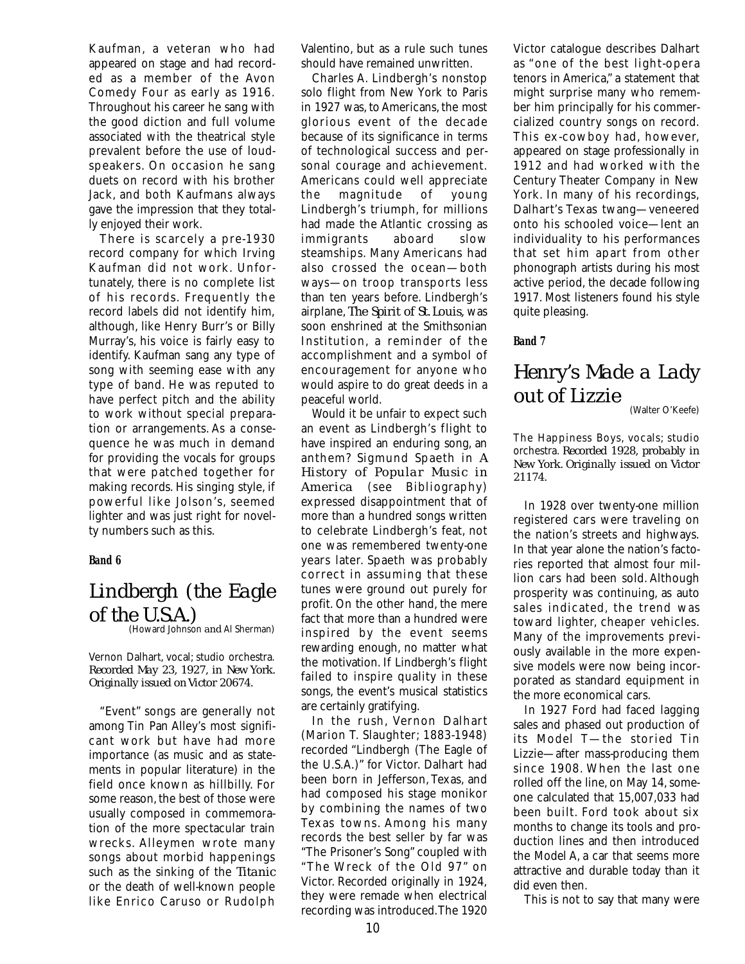Kaufman, a veteran who had appeared on stage and had recorded as a member of the Avon Comedy Four as early as 1916. Throughout his career he sang with the good diction and full volume associated with the theatrical style prevalent before the use of loudspeakers. On occasion he sang duets on record with his brother Jack, and both Kaufmans always gave the impression that they totally enjoyed their work.

There is scarcely a pre-1930 record company for which Irving Kaufman did not work. Unfortunately, there is no complete list of his records. Frequently the record labels did not identify him, although, like Henry Burr's or Billy Murray's, his voice is fairly easy to identify. Kaufman sang any type of song with seeming ease with any type of band. He was reputed to have perfect pitch and the ability to work without special preparation or arrangements. As a consequence he was much in demand for providing the vocals for groups that were patched together for making records. His singing style, if powerful like Jolson's, seemed lighter and was just right for novelty numbers such as this.

#### **Band 6**

## *Lindbergh (the Eagle of the U.S.A.)*

(Howard Johnson *and* Al Sherman)

Vernon Dalhart, vocal; studio orchestra. *Recorded May 23, 1927, in New York. Originally issued on Victor 20674.*

"Event" songs are generally not among Tin Pan Alley's most significant work but have had more importance (as music and as statements in popular literature) in the field once known as hillbilly. For some reason, the best of those were usually composed in commemoration of the more spectacular train wrecks. Alleymen wrote many songs about morbid happenings such as the sinking of the *Titanic* or the death of well-known people like Enrico Caruso or Rudolph

Valentino, but as a rule such tunes should have remained unwritten.

Charles A. Lindbergh's nonstop solo flight from New York to Paris in 1927 was, to Americans, the most glorious event of the decade because of its significance in terms of technological success and personal courage and achievement. Americans could well appreciate the magnitude of young Lindbergh's triumph, for millions had made the Atlantic crossing as immigrants aboard slow steamships. Many Americans had also crossed the ocean—both ways—on troop transports less than ten years before. Lindbergh's airplane, *The Spirit of St. Louis,* was soon enshrined at the Smithsonian Institution, a reminder of the accomplishment and a symbol of encouragement for anyone who would aspire to do great deeds in a peaceful world.

Would it be unfair to expect such an event as Lindbergh's flight to have inspired an enduring song, an anthem? Sigmund Spaeth in *A History of Popular Music in America* (see Bibliography) expressed disappointment that of more than a hundred songs written to celebrate Lindbergh's feat, not one was remembered twenty-one years later. Spaeth was probably correct in assuming that these tunes were ground out purely for profit. On the other hand, the mere fact that more than a hundred were inspired by the event seems rewarding enough, no matter what the motivation. If Lindbergh's flight failed to inspire quality in these songs, the event's musical statistics are certainly gratifying.

In the rush, Vernon Dalhart (Marion T. Slaughter; 1883-1948) recorded "Lindbergh (The Eagle of the U.S.A.)" for Victor. Dalhart had been born in Jefferson, Texas, and had composed his stage monikor by combining the names of two Texas towns. Among his many records the best seller by far was "The Prisoner's Song" coupled with "The Wreck of the Old 97" on Victor. Recorded originally in 1924, they were remade when electrical recording was introduced.The 1920

Victor catalogue describes Dalhart as "one of the best light-opera tenors in America," a statement that might surprise many who remember him principally for his commercialized country songs on record. This ex-cowboy had, however, appeared on stage professionally in 1912 and had worked with the Century Theater Company in New York. In many of his recordings, Dalhart's Texas twang—veneered onto his schooled voice—lent an individuality to his performances that set him apart from other phonograph artists during his most active period, the decade following 1917. Most listeners found his style quite pleasing.

#### **Band 7**

## *Henry's Made a Lady out of Lizzie*

(Walter O'Keefe)

The Happiness Boys, vocals; studio orchestra. *Recorded 1928, probably in New York. Originally issued on Victor 21174.*

In 1928 over twenty-one million registered cars were traveling on the nation's streets and highways. In that year alone the nation's factories reported that almost four million cars had been sold. Although prosperity was continuing, as auto sales indicated, the trend was toward lighter, cheaper vehicles. Many of the improvements previously available in the more expensive models were now being incorporated as standard equipment in the more economical cars.

In 1927 Ford had faced lagging sales and phased out production of its Model T—the storied Tin Lizzie—after mass-producing them since 1908. When the last one rolled off the line, on May 14, someone calculated that 15,007,033 had been built. Ford took about six months to change its tools and production lines and then introduced the Model A, a car that seems more attractive and durable today than it did even then.

This is not to say that many were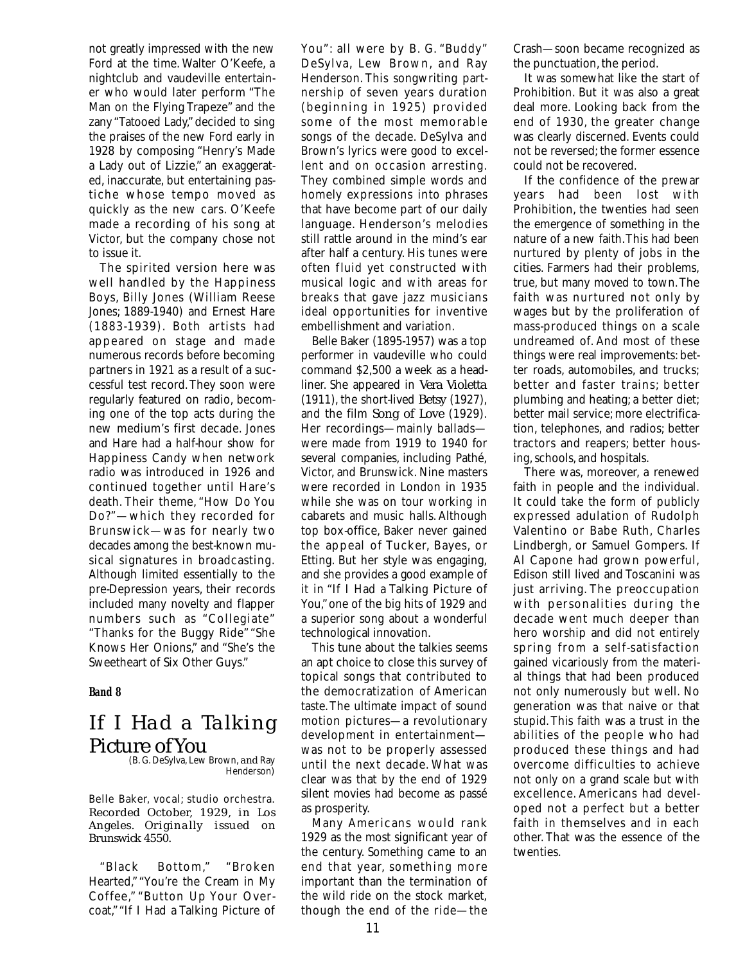not greatly impressed with the new Ford at the time. Walter O'Keefe, a nightclub and vaudeville entertainer who would later perform "The Man on the Flying Trapeze" and the zany "Tatooed Lady," decided to sing the praises of the new Ford early in 1928 by composing "Henry's Made a Lady out of Lizzie," an exaggerated, inaccurate, but entertaining pastiche whose tempo moved as quickly as the new cars. O'Keefe made a recording of his song at Victor, but the company chose not to issue it.

The spirited version here was well handled by the Happiness Boys, Billy Jones (William Reese Jones; 1889-1940) and Ernest Hare (1883-1939). Both artists had appeared on stage and made numerous records before becoming partners in 1921 as a result of a successful test record.They soon were regularly featured on radio, becoming one of the top acts during the new medium's first decade. Jones and Hare had a half-hour show for Happiness Candy when network radio was introduced in 1926 and continued together until Hare's death. Their theme, "How Do You Do?"—which they recorded for Brunswick—was for nearly two decades among the best-known musical signatures in broadcasting. Although limited essentially to the pre-Depression years, their records included many novelty and flapper numbers such as "Collegiate" "Thanks for the Buggy Ride" "She Knows Her Onions," and "She's the Sweetheart of Six Other Guys."

#### **Band 8**

## *If I Had a Talking Picture of You*

(B. G. DeSylva, Lew Brown, *and* Ray Henderson)

Belle Baker, vocal; studio orchestra. *Recorded October, 1929, in Los Angeles. Originally issued on Brunswick 4550.*

"Black Bottom," "Broken Hearted," "You're the Cream in My Coffee," "Button Up Your Overcoat,""If I Had a Talking Picture of You": all were by B. G. "Buddy" DeSylva, Lew Brown, and Ray Henderson. This songwriting partnership of seven years duration (beginning in 1925) provided some of the most memorable songs of the decade. DeSylva and Brown's lyrics were good to excellent and on occasion arresting. They combined simple words and homely expressions into phrases that have become part of our daily language. Henderson's melodies still rattle around in the mind's ear after half a century. His tunes were often fluid yet constructed with musical logic and with areas for breaks that gave jazz musicians ideal opportunities for inventive embellishment and variation.

Belle Baker (1895-1957) was a top performer in vaudeville who could command \$2,500 a week as a headliner. She appeared in *Vera Violetta* (1911), the short-lived *Betsy* (1927), and the film *Song of Love* (1929). Her recordings—mainly ballads were made from 1919 to 1940 for several companies, including Pathé, Victor, and Brunswick. Nine masters were recorded in London in 1935 while she was on tour working in cabarets and music halls. Although top box-office, Baker never gained the appeal of Tucker, Bayes, or Etting. But her style was engaging, and she provides a good example of it in "If I Had a Talking Picture of You,"one of the big hits of 1929 and a superior song about a wonderful technological innovation.

This tune about the talkies seems an apt choice to close this survey of topical songs that contributed to the democratization of American taste.The ultimate impact of sound motion pictures—a revolutionary development in entertainment was not to be properly assessed until the next decade. What was clear was that by the end of 1929 silent movies had become as passé as prosperity.

Many Americans would rank 1929 as the most significant year of the century. Something came to an end that year, something more important than the termination of the wild ride on the stock market, though the end of the ride—the

Crash—soon became recognized as the punctuation, the period.

It was somewhat like the start of Prohibition. But it was also a great deal more. Looking back from the end of 1930, the greater change was clearly discerned. Events could not be reversed; the former essence could not be recovered.

If the confidence of the prewar years had been lost with Prohibition, the twenties had seen the emergence of something in the nature of a new faith.This had been nurtured by plenty of jobs in the cities. Farmers had their problems, true, but many moved to town.The faith was nurtured not only by wages but by the proliferation of mass-produced things on a scale undreamed of. And most of these things were real improvements: better roads, automobiles, and trucks; better and faster trains; better plumbing and heating; a better diet; better mail service; more electrification, telephones, and radios; better tractors and reapers; better housing, schools, and hospitals.

There was, moreover, a renewed faith in people and the individual. It could take the form of publicly expressed adulation of Rudolph Valentino or Babe Ruth, Charles Lindbergh, or Samuel Gompers. If Al Capone had grown powerful, Edison still lived and Toscanini was just arriving. The preoccupation with personalities during the decade went much deeper than hero worship and did not entirely spring from a self-satisfaction gained vicariously from the material things that had been produced not only numerously but well. No generation was that naive or that stupid.This faith was a trust in the abilities of the people who had produced these things and had overcome difficulties to achieve not only on a grand scale but with excellence. Americans had developed not a perfect but a better faith in themselves and in each other. That was the essence of the twenties.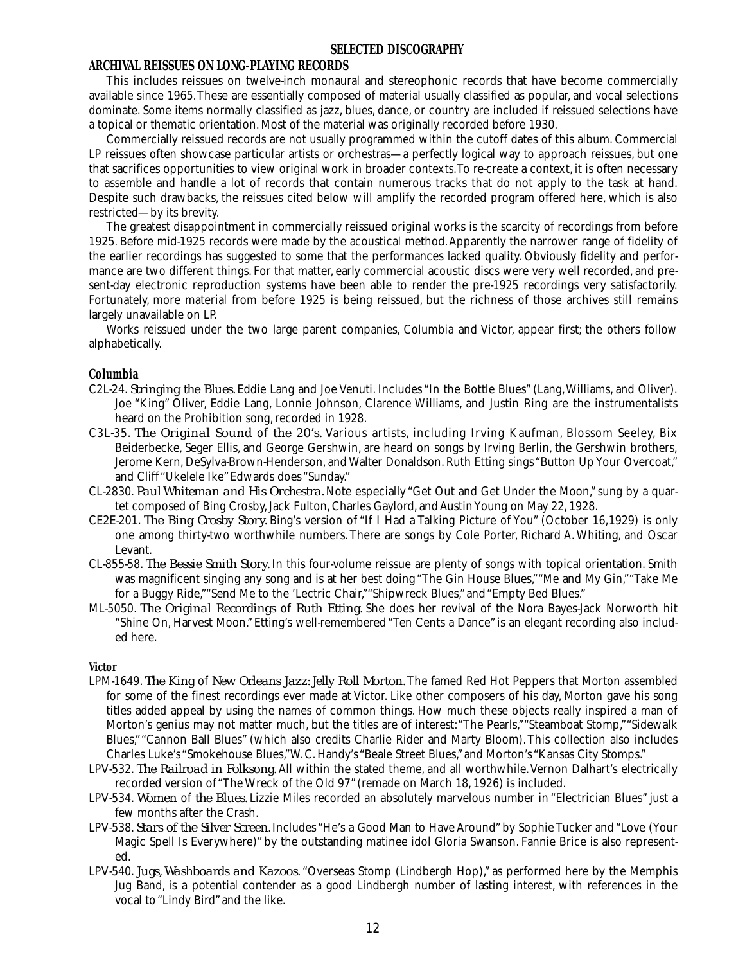#### **SELECTED DISCOGRAPHY**

#### **ARCHIVAL REISSUES ON LONG-PLAYING RECORDS**

This includes reissues on twelve-inch monaural and stereophonic records that have become commercially available since 1965.These are essentially composed of material usually classified as popular, and vocal selections dominate. Some items normally classified as jazz, blues, dance, or country are included if reissued selections have a topical or thematic orientation. Most of the material was originally recorded before 1930.

Commercially reissued records are not usually programmed within the cutoff dates of this album. Commercial LP reissues often showcase particular artists or orchestras—a perfectly logical way to approach reissues, but one that sacrifices opportunities to view original work in broader contexts.To re-create a context, it is often necessary to assemble and handle a lot of records that contain numerous tracks that do not apply to the task at hand. Despite such drawbacks, the reissues cited below will amplify the recorded program offered here, which is also restricted—by its brevity.

The greatest disappointment in commercially reissued original works is the scarcity of recordings from before 1925. Before mid-1925 records were made by the acoustical method.Apparently the narrower range of fidelity of the earlier recordings has suggested to some that the performances lacked quality. Obviously fidelity and performance are two different things. For that matter, early commercial acoustic discs were very well recorded, and present-day electronic reproduction systems have been able to render the pre-1925 recordings very satisfactorily. Fortunately, more material from before 1925 is being reissued, but the richness of those archives still remains largely unavailable on LP.

Works reissued under the two large parent companies, Columbia and Victor, appear first; the others follow alphabetically.

#### **Columbia**

- C2L-24. *Stringing the Blues.* Eddie Lang and Joe Venuti. Includes "In the Bottle Blues" (Lang,Williams, and Oliver). Joe "King" Oliver, Eddie Lang, Lonnie Johnson, Clarence Williams, and Justin Ring are the instrumentalists heard on the Prohibition song, recorded in 1928.
- C3L-35. *The Original Sound* of *the 20's.* Various artists, including Irving Kaufman, Blossom Seeley, Bix Beiderbecke, Seger Ellis, and George Gershwin, are heard on songs by Irving Berlin, the Gershwin brothers, Jerome Kern, DeSylva-Brown-Henderson, and Walter Donaldson. Ruth Etting sings "Button Up Your Overcoat," and Cliff "Ukelele Ike"Edwards does "Sunday."
- CL-2830. *Paul Whiteman and His Orchestra.* Note especially "Get Out and Get Under the Moon," sung by a quartet composed of Bing Crosby, Jack Fulton, Charles Gaylord, and Austin Young on May 22, 1928.
- CE2E-201. *The Bing Crosby Story.* Bing's version of "If I Had a Talking Picture of You" (October 16,1929) is only one among thirty-two worthwhile numbers.There are songs by Cole Porter, Richard A.Whiting, and Oscar Levant.
- CL-855-58. *The Bessie Smith Story.* In this four-volume reissue are plenty of songs with topical orientation. Smith was magnificent singing any song and is at her best doing "The Gin House Blues,""Me and My Gin,""Take Me for a Buggy Ride,""Send Me to the 'Lectric Chair,""Shipwreck Blues," and "Empty Bed Blues."
- ML-5050. *The Original Recordings* of *Ruth Etting.* She does her revival of the Nora Bayes-Jack Norworth hit "Shine On, Harvest Moon." Etting's well-remembered "Ten Cents a Dance" is an elegant recording also included here.

#### **Victor**

- LPM-1649. *The King* of *New Orleans Jazz: Jelly Roll Morton.* The famed Red Hot Peppers that Morton assembled for some of the finest recordings ever made at Victor. Like other composers of his day, Morton gave his song titles added appeal by using the names of common things. How much these objects really inspired a man of Morton's genius may not matter much, but the titles are of interest:"The Pearls,""Steamboat Stomp,""Sidewalk Blues,""Cannon Ball Blues" (which also credits Charlie Rider and Marty Bloom).This collection also includes Charles Luke's "Smokehouse Blues,"W.C. Handy's "Beale Street Blues," and Morton's "Kansas City Stomps."
- LPV-532. *The Railroad in Folksong.* All within the stated theme, and all worthwhile.Vernon Dalhart's electrically recorded version of "The Wreck of the Old 97" (remade on March 18, 1926) is included.
- LPV-534. *Women* of *the Blues.* Lizzie Miles recorded an absolutely marvelous number in "Electrician Blues" just a few months after the Crash.
- LPV-538. *Stars of the Silver Screen.* Includes "He's a Good Man to Have Around" by Sophie Tucker and "Love (Your Magic Spell Is Everywhere)" by the outstanding matinee idol Gloria Swanson. Fannie Brice is also represented.
- LPV-540. *Jugs, Washboards and Kazoos.* "Overseas Stomp (Lindbergh Hop)," as performed here by the Memphis Jug Band, is a potential contender as a good Lindbergh number of lasting interest, with references in the vocal to "Lindy Bird" and the like.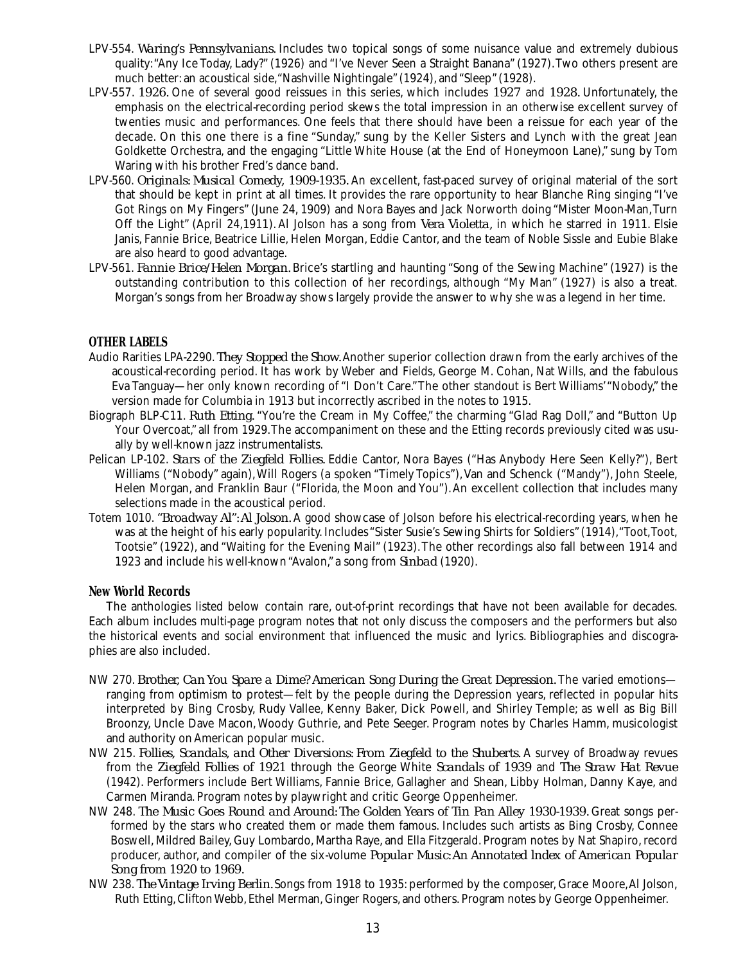- LPV-554. *Waring's Pennsylvanians.* Includes two topical songs of some nuisance value and extremely dubious quality:"Any Ice Today, Lady?" (1926) and "I've Never Seen a Straight Banana" (1927).Two others present are much better: an acoustical side,"Nashville Nightingale" (1924), and "Sleep" (1928).
- LPV-557. *1926.* One of several good reissues in this series, which includes *1927* and *1928.* Unfortunately, the emphasis on the electrical-recording period skews the total impression in an otherwise excellent survey of twenties music and performances. One feels that there should have been a reissue for each year of the decade. On this one there is a fine "Sunday," sung by the Keller Sisters and Lynch with the great Jean Goldkette Orchestra, and the engaging "Little White House (at the End of Honeymoon Lane)," sung by Tom Waring with his brother Fred's dance band.
- LPV-560. *Originals: Musical Comedy, 1909-1935.* An excellent, fast-paced survey of original material of the sort that should be kept in print at all times. It provides the rare opportunity to hear Blanche Ring singing "I've Got Rings on My Fingers" (June 24, 1909) and Nora Bayes and Jack Norworth doing "Mister Moon-Man,Turn Off the Light" (April 24,1911). Al Jolson has a song from *Vera Violetta,* in which he starred in 1911. Elsie Janis, Fannie Brice, Beatrice Lillie, Helen Morgan, Eddie Cantor, and the team of Noble Sissle and Eubie Blake are also heard to good advantage.
- LPV-561. *Fannie Brice/Helen Morgan.* Brice's startling and haunting "Song of the Sewing Machine" (1927) is the outstanding contribution to this collection of her recordings, although "My Man" (1927) is also a treat. Morgan's songs from her Broadway shows largely provide the answer to why she was a legend in her time.

#### **OTHER LABELS**

- Audio Rarities LPA-2290. *They Stopped the Show.*Another superior collection drawn from the early archives of the acoustical-recording period. It has work by Weber and Fields, George M. Cohan, Nat Wills, and the fabulous Eva Tanguay—her only known recording of "I Don't Care."The other standout is Bert Williams'"Nobody," the version made for Columbia in 1913 but incorrectly ascribed in the notes to 1915.
- Biograph BLP-C11. *Ruth Etting.* "You're the Cream in My Coffee," the charming "Glad Rag Doll," and "Button Up Your Overcoat," all from 1929.The accompaniment on these and the Etting records previously cited was usually by well-known jazz instrumentalists.
- Pelican LP-102. *Stars of the Ziegfeld Follies.* Eddie Cantor, Nora Bayes ("Has Anybody Here Seen Kelly?"), Bert Williams ("Nobody" again), Will Rogers (a spoken "Timely Topics"), Van and Schenck ("Mandy"), John Steele, Helen Morgan, and Franklin Baur ("Florida, the Moon and You").An excellent collection that includes many selections made in the acoustical period.
- Totem 1010. *"Broadway Al":Al Jolson.* A good showcase of Jolson before his electrical-recording years, when he was at the height of his early popularity. Includes "Sister Susie's Sewing Shirts for Soldiers" (1914), "Toot,Toot, Tootsie" (1922), and "Waiting for the Evening Mail" (1923).The other recordings also fall between 1914 and 1923 and include his well-known "Avalon," a song from *Sinbad* (1920).

#### **New World Records**

The anthologies listed below contain rare, out-of-print recordings that have not been available for decades. Each album includes multi-page program notes that not only discuss the composers and the performers but also the historical events and social environment that influenced the music and lyrics. Bibliographies and discographies are also included.

- NW 270. *Brother, Can You Spare a Dime? American Song During the Great Depression.* The varied emotions ranging from optimism to protest—felt by the people during the Depression years, reflected in popular hits interpreted by Bing Crosby, Rudy Vallee, Kenny Baker, Dick Powell, and Shirley Temple; as well as Big Bill Broonzy, Uncle Dave Macon,Woody Guthrie, and Pete Seeger. Program notes by Charles Hamm, musicologist and authority on American popular music.
- NW 215. *Follies, Scandals, and Other Diversions: From Ziegfeld to the Shuberts.* A survey of Broadway revues from the *Ziegfeld Follies of 1921* through the George White *Scandals of 1939* and *The Straw Hat Revue* (1942). Performers include Bert Williams, Fannie Brice, Gallagher and Shean, Libby Holman, Danny Kaye, and Carmen Miranda. Program notes by playwright and critic George Oppenheimer.
- NW 248. *The Music Goes Round and Around: The Golden Years of Tin Pan Alley 1930-1939.* Great songs performed by the stars who created them or made them famous. Includes such artists as Bing Crosby, Connee Boswell, Mildred Bailey, Guy Lombardo, Martha Raye, and Ella Fitzgerald. Program notes by Nat Shapiro, record producer, author, and compiler of the six-volume *Popular Music:An Annotated lndex of American Popular Song from 1920 to 1969.*
- NW 238. *The Vintage Irving Berlin.* Songs from 1918 to 1935: performed by the composer, Grace Moore,Al Jolson, Ruth Etting,Clifton Webb, Ethel Merman,Ginger Rogers, and others.Program notes by George Oppenheimer.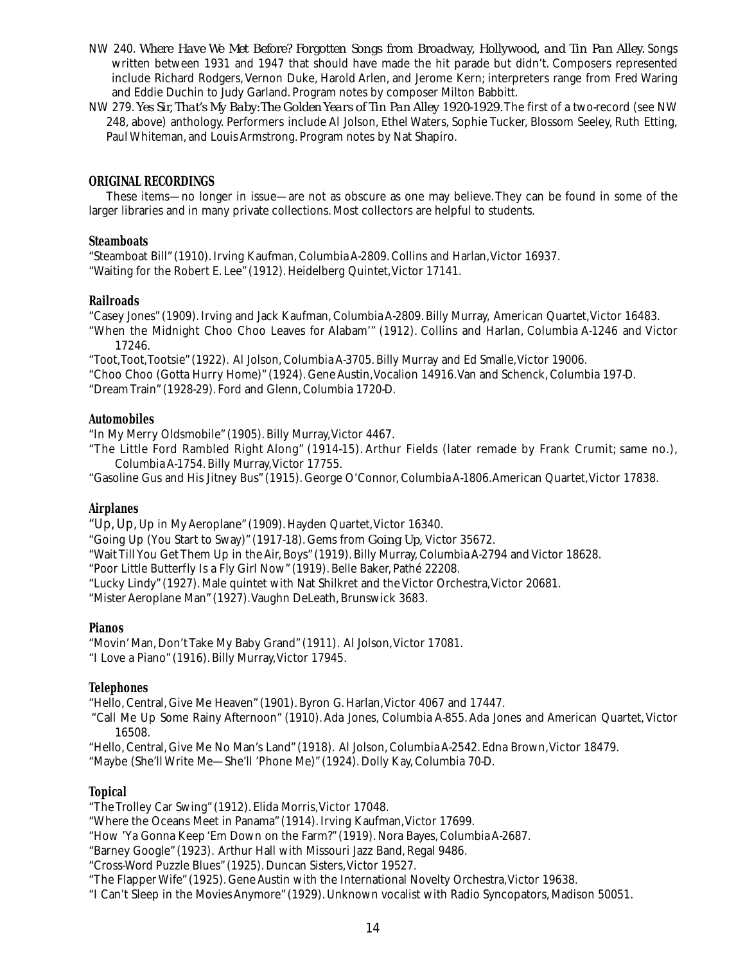- NW 240. *Where Have We Met Before? Forgotten Songs from Broadway, Hollywood, and Tin Pan Alley.* Songs written between 1931 and 1947 that should have made the hit parade but didn't. Composers represented include Richard Rodgers,Vernon Duke, Harold Arlen, and Jerome Kern; interpreters range from Fred Waring and Eddie Duchin to Judy Garland. Program notes by composer Milton Babbitt.
- NW 279.*Yes Sir, That's My Baby:The Golden Years of Tin Pan Alley 1920-1929.*The first of a two-record (see NW 248, above) anthology. Performers include Al Jolson, Ethel Waters, Sophie Tucker, Blossom Seeley, Ruth Etting, Paul Whiteman, and Louis Armstrong. Program notes by Nat Shapiro.

#### **ORIGINAL RECORDINGS**

These items—no longer in issue—are not as obscure as one may believe.They can be found in some of the larger libraries and in many private collections. Most collectors are helpful to students.

#### **Steamboats**

"Steamboat Bill" (1910).Irving Kaufman,Columbia A-2809.Collins and Harlan,Victor 16937. "Waiting for the Robert E. Lee" (1912). Heidelberg Quintet,Victor 17141.

#### **Railroads**

"Casey Jones" (1909).Irving and Jack Kaufman,Columbia A-2809.Billy Murray, American Quartet,Victor 16483.

"When the Midnight Choo Choo Leaves for Alabam'" (1912). Collins and Harlan, Columbia A-1246 and Victor 17246.

"Toot,Toot,Tootsie" (1922). Al Jolson,Columbia A-3705.Billy Murray and Ed Smalle,Victor 19006.

"Choo Choo (Gotta Hurry Home)" (1924). Gene Austin,Vocalion 14916.Van and Schenck,Columbia 197-D.

"Dream Train" (1928-29). Ford and Glenn,Columbia 1720-D.

#### **Automobiles**

"In My Merry Oldsmobile" (1905).Billy Murray,Victor 4467.

"The Little Ford Rambled Right Along" (1914-15). Arthur Fields (later remade by Frank Crumit; same no.), Columbia A-1754.Billy Murray,Victor 17755.

"Gasoline Gus and His Jitney Bus" (1915). George O'Connor,Columbia A-1806.American Quartet,Victor 17838.

#### **Airplanes**

"Up,Up,Up in My Aeroplane" (1909). Hayden Quartet,Victor 16340.

"Going Up (You Start to Sway)" (1917-18). Gems from *Going Up,* Victor 35672.

"Wait Till You Get Them Up in the Air, Boys" (1919).Billy Murray,Columbia A-2794 and Victor 18628.

"Poor Little Butterfly Is a Fly Girl Now" (1919). Belle Baker, Pathé 22208.

"Lucky Lindy" (1927). Male quintet with Nat Shilkret and the Victor Orchestra, Victor 20681.

"Mister Aeroplane Man" (1927). Vaughn DeLeath, Brunswick 3683.

#### **Pianos**

"Movin' Man, Don't Take My Baby Grand" (1911). Al Jolson,Victor 17081. "I Love a Piano" (1916).Billy Murray,Victor 17945.

#### **Telephones**

"Hello,Central, Give Me Heaven" (1901).Byron G. Harlan,Victor 4067 and 17447.

"Call Me Up Some Rainy Afternoon" (1910).Ada Jones, Columbia A-855.Ada Jones and American Quartet,Victor 16508.

"Hello,Central, Give Me No Man's Land" (1918). Al Jolson,Columbia A-2542. Edna Brown,Victor 18479.

"Maybe (She'll Write Me—She'll 'Phone Me)" (1924). Dolly Kay,Columbia 70-D.

#### **Topical**

"The Trolley Car Swing" (1912). Elida Morris,Victor 17048.

- "Where the Oceans Meet in Panama" (1914). Irving Kaufman, Victor 17699.
- "How 'Ya Gonna Keep 'Em Down on the Farm?" (1919). Nora Bayes, Columbia A-2687.

"Barney Google" (1923). Arthur Hall with Missouri Jazz Band, Regal 9486.

"Cross-Word Puzzle Blues" (1925). Duncan Sisters,Victor 19527.

"The Flapper Wife" (1925). Gene Austin with the International Novelty Orchestra,Victor 19638.

"I Can't Sleep in the Movies Anymore" (1929).Unknown vocalist with Radio Syncopators, Madison 50051.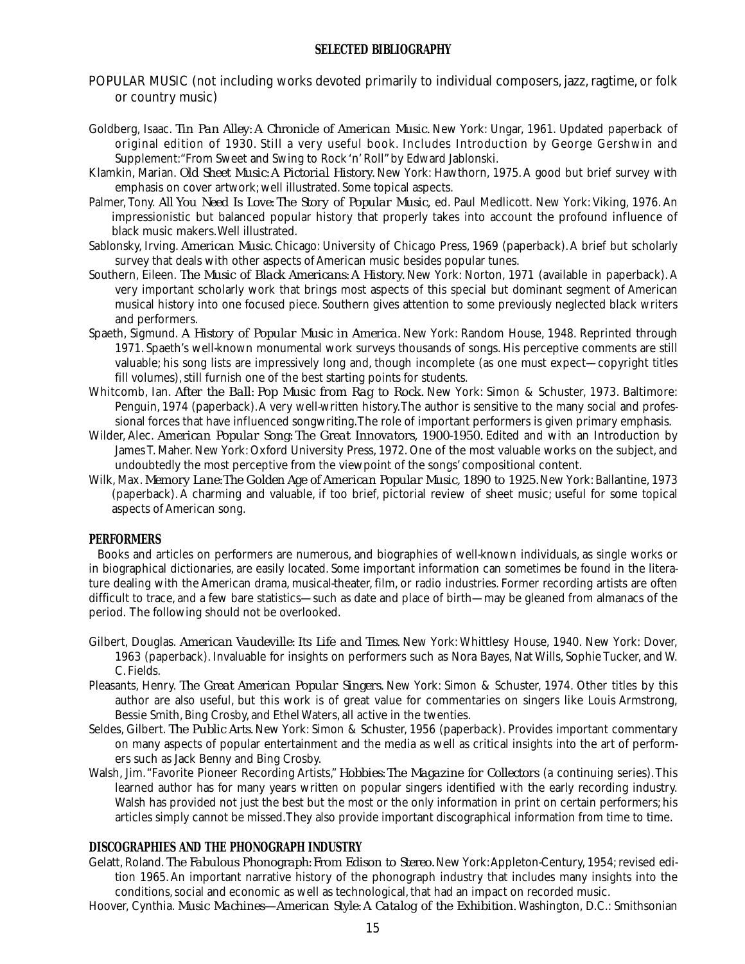#### **SELECTED BIBLIOGRAPHY**

- POPULAR MUSIC (not including works devoted primarily to individual composers, jazz, ragtime, or folk or country music)
- Goldberg, Isaac. *Tin Pan Alley: A Chronicle of American Music.* New York: Ungar, 1961. Updated paperback of original edition of 1930. Still a very useful book. Includes Introduction by George Gershwin and Supplement:"From Sweet and Swing to Rock 'n'Roll"by Edward Jablonski.
- Klamkin, Marian. *Old Sheet Music: A Pictorial History.* New York: Hawthorn, 1975.A good but brief survey with emphasis on cover artwork; well illustrated. Some topical aspects.
- Palmer,Tony. *All You Need Is Love: The Story of Popular Music,* ed. Paul Medlicott. New York: Viking, 1976. An impressionistic but balanced popular history that properly takes into account the profound influence of black music makers.Well illustrated.
- Sablonsky, Irving. *American Music.* Chicago: University of Chicago Press, 1969 (paperback).A brief but scholarly survey that deals with other aspects of American music besides popular tunes.
- Southern, Eileen. *The Music of Black Americans: A History.* New York: Norton, 1971 (available in paperback).A very important scholarly work that brings most aspects of this special but dominant segment of American musical history into one focused piece. Southern gives attention to some previously neglected black writers and performers.
- Spaeth, Sigmund. *A History of Popular Music in America.* New York: Random House, 1948. Reprinted through 1971. Spaeth's well-known monumental work surveys thousands of songs. His perceptive comments are still valuable; his song lists are impressively long and, though incomplete (as one must expect—copyright titles fill volumes), still furnish one of the best starting points for students.
- Whitcomb, Ian. *After the Ball: Pop Music from Rag to Rock.* New York: Simon & Schuster, 1973. Baltimore: Penguin, 1974 (paperback).A very well-written history.The author is sensitive to the many social and professional forces that have influenced songwriting.The role of important performers is given primary emphasis.
- Wilder, Alec. *American Popular Song: The Great Innovators, 1900-1950.* Edited and with an Introduction by James T. Maher. New York: Oxford University Press, 1972. One of the most valuable works on the subject, and undoubtedly the most perceptive from the viewpoint of the songs' compositional content.
- Wilk, Max. *Memory Lane:The Golden Age of American Popular Music, 1890 to 1925.* New York: Ballantine, 1973 (paperback). A charming and valuable, if too brief, pictorial review of sheet music; useful for some topical aspects of American song.

#### **PERFORMERS**

Books and articles on performers are numerous, and biographies of well-known individuals, as single works or in biographical dictionaries, are easily located. Some important information can sometimes be found in the literature dealing with the American drama, musical-theater, film, or radio industries. Former recording artists are often difficult to trace, and a few bare statistics—such as date and place of birth—may be gleaned from almanacs of the period. The following should not be overlooked.

- Gilbert, Douglas. *American Vaudeville: Its Life and Times.* New York: Whittlesy House, 1940. New York: Dover, 1963 (paperback). Invaluable for insights on performers such as Nora Bayes, Nat Wills, Sophie Tucker, and W. C. Fields.
- Pleasants, Henry. *The Great American Popular Singers.* New York: Simon & Schuster, 1974. Other titles by this author are also useful, but this work is of great value for commentaries on singers like Louis Armstrong, Bessie Smith, Bing Crosby, and Ethel Waters, all active in the twenties.
- Seldes, Gilbert. *The Public Arts.* New York: Simon & Schuster, 1956 (paperback). Provides important commentary on many aspects of popular entertainment and the media as well as critical insights into the art of performers such as Jack Benny and Bing Crosby.
- Walsh, Jim."Favorite Pioneer Recording Artists," *Hobbies: The Magazine for Collectors* (a continuing series).This learned author has for many years written on popular singers identified with the early recording industry. Walsh has provided not just the best but the most or the only information in print on certain performers; his articles simply cannot be missed.They also provide important discographical information from time to time.

#### **DISCOGRAPHIES AND THE PHONOGRAPH INDUSTRY**

- Gelatt, Roland. *The Fabulous Phonograph: From Edison to Stereo*. New York: Appleton-Century, 1954; revised edition 1965.An important narrative history of the phonograph industry that includes many insights into the conditions, social and economic as well as technological, that had an impact on recorded music.
- Hoover, Cynthia. *Music Machines—American Style: A Catalog of the Exhibition.* Washington, D.C.: Smithsonian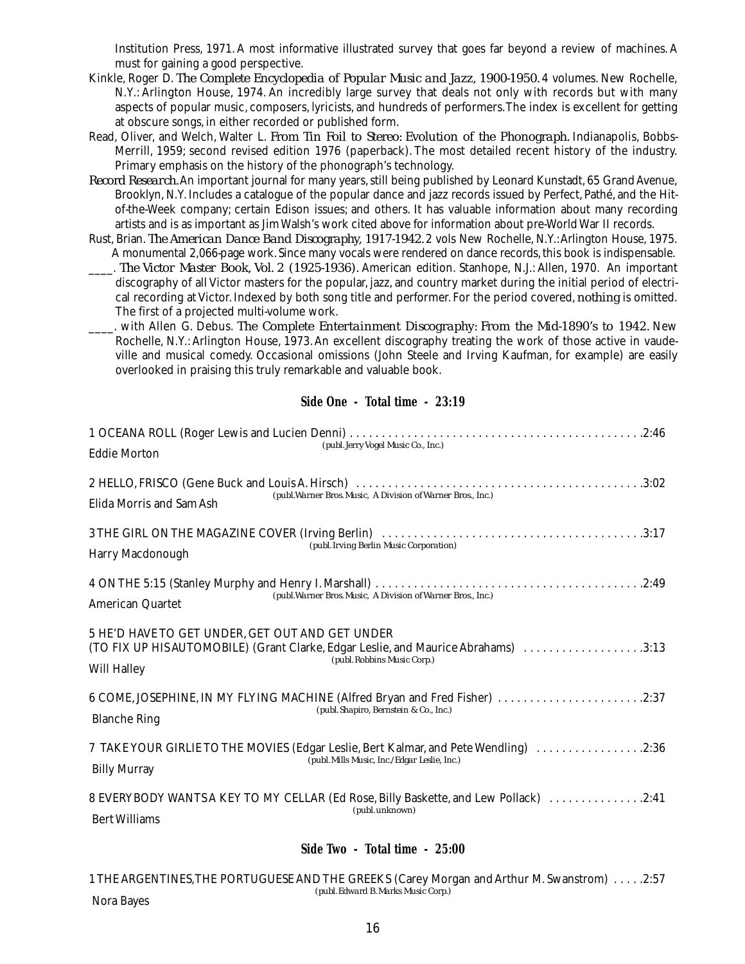Institution Press, 1971. A most informative illustrated survey that goes far beyond a review of machines. A must for gaining a good perspective.

- Kinkle, Roger D. *The Complete Encyclopedia of Popular Music and Jazz, 1900-1950.* 4 volumes. New Rochelle, N.Y.: Arlington House, 1974. An incredibly large survey that deals not only with records but with many aspects of popular music, composers, lyricists, and hundreds of performers.The index is excellent for getting at obscure songs, in either recorded or published form.
- Read, Oliver, and Welch, Walter L. *From Tin Foil to Stereo: Evolution of the Phonograph.* Indianapolis, Bobbs-Merrill, 1959; second revised edition 1976 (paperback). The most detailed recent history of the industry. Primary emphasis on the history of the phonograph's technology.
- *Record Research.* An important journal for many years, still being published by Leonard Kunstadt, 65 Grand Avenue, Brooklyn, N.Y.Includes a catalogue of the popular dance and jazz records issued by Perfect, Pathé, and the Hitof-the-Week company; certain Edison issues; and others. It has valuable information about many recording artists and is as important as Jim Walsh's work cited above for information about pre-World War II records.
- Rust, Brian. *The American Dance Band Discography, 1917-1942.* 2 vols New Rochelle, N.Y.:Arlington House, 1975. A monumental 2,066-page work. Since many vocals were rendered on dance records, this book is indispensable.
- \_\_\_\_. *The Victor Master Book, Vol. 2 (1925-1936).* American edition. Stanhope, N.J.: Allen, 1970. An important discography of all Victor masters for the popular, jazz, and country market during the initial period of electrical recording at Victor.Indexed by both song title and performer. For the period covered,*nothing* is omitted. The first of a projected multi-volume work.
- \_\_\_\_. with Allen G. Debus. *The Complete Entertainment Discography: From the Mid-1890's to 1942.* New Rochelle, N.Y.:Arlington House, 1973.An excellent discography treating the work of those active in vaudeville and musical comedy. Occasional omissions (John Steele and Irving Kaufman, for example) are easily overlooked in praising this truly remarkable and valuable book.

#### **Side One - Total time - 23:19**

| (publ. Jerry Vogel Music Co., Inc.)<br><b>Eddie Morton</b>                                                                                                                                 |
|--------------------------------------------------------------------------------------------------------------------------------------------------------------------------------------------|
| (publ. Warner Bros. Music, A Division of Warner Bros., Inc.)<br>Elida Morris and Sam Ash                                                                                                   |
| (publ. Irving Berlin Music Corporation)<br><b>Harry Macdonough</b>                                                                                                                         |
| (publ. Warner Bros. Music, A Division of Warner Bros., Inc.)<br><b>American Quartet</b>                                                                                                    |
| 5 HE'D HAVE TO GET UNDER, GET OUT AND GET UNDER<br>(TO FIX UP HIS AUTOMOBILE) (Grant Clarke, Edgar Leslie, and Maurice Abrahams) 3:13<br>(publ. Robbins Music Corp.)<br><b>Will Halley</b> |
| 6 COME, JOSEPHINE, IN MY FLYING MACHINE (Alfred Bryan and Fred Fisher) 2:37<br>(publ. Shapiro, Bernstein & Co., Inc.)<br><b>Blanche Ring</b>                                               |
| 7 TAKE YOUR GIRLIE TO THE MOVIES (Edgar Leslie, Bert Kalmar, and Pete Wendling) 2:36<br>(publ. Mills Music, Inc./Edgar Leslie, Inc.)<br><b>Billy Murray</b>                                |
| 8 EVERYBODY WANTS A KEY TO MY CELLAR (Ed Rose, Billy Baskette, and Lew Pollack) 2:41<br>(publ. unknown)<br><b>Bert Williams</b>                                                            |

#### **Side Two - Total time - 25:00**

1 THE ARGENTINES,THE PORTUGUESE AND THE GREEKS (Carey Morgan and Arthur M. Swanstrom) . . . . .2:57 *(publ.Edward B. Marks Music Corp.)* Nora Bayes